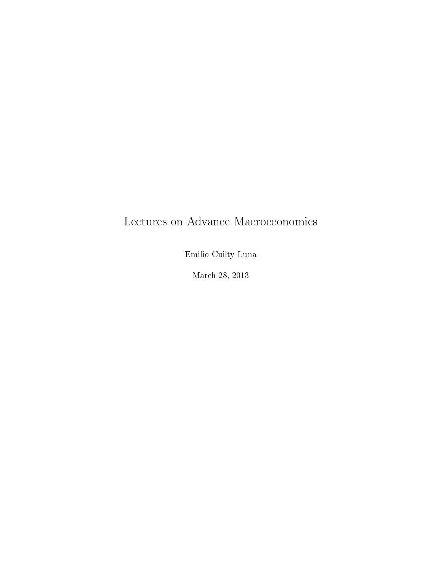# Lectures on Advance Macroeconomics

Emilio Cuilty Luna

March 28, 2013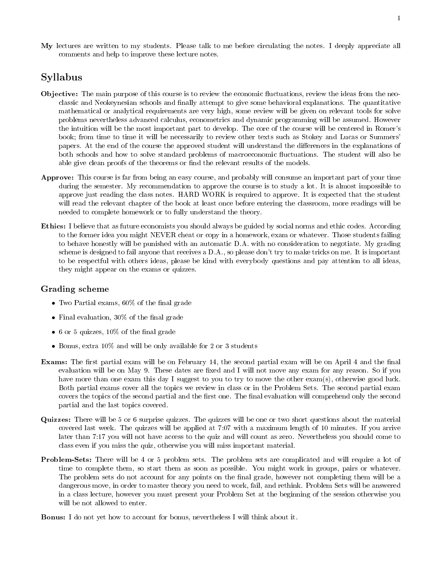My lectures are written to my students. Please talk to me before circulating the notes. I deeply appreciate all comments and help to improve these lecture notes.

# Syllabus

- Objective: The main purpose of this course is to review the economic fluctuations, review the ideas from the neoclassic and Neokeynesian schools and finally attempt to give some behavioral explanations. The quantitative mathematical or analytical requirements are very high, some review will be given on relevant tools for solve problems nevertheless advanced calculus, econometrics and dynamic programming will be assumed. However the intuition will be the most important part to develop. The core of the course will be centered in Romer's book; from time to time it will be necessarily to review other texts such as Stokey and Lucas or Summers' papers. At the end of the course the approved student will understand the differences in the explanations of both schools and how to solve standard problems of macroeconomic fluctuations. The student will also be able give clean proofs of the theorems or find the relevant results of the models.
- Approve: This course is far from being an easy course, and probably will consume an important part of your time during the semester. My recommendation to approve the course is to study a lot. It is almost impossible to approve just reading the class notes. HARD WORK is required to approve. It is expected that the student will read the relevant chapter of the book at least once before entering the classroom, more readings will be needed to complete homework or to fully understand the theory.
- Ethics: I believe that as future economists you should always be guided by social norms and ethic codes. According to the former idea you might NEVER cheat or copy in a homework, exam or whatever. Those students failing to behave honestly will be punished with an automatic D.A. with no consideration to negotiate. My grading scheme is designed to fail anyone that receives a D.A., so please don't try to make tricks on me. It is important to be respectful with others ideas, please be kind with everybody questions and pay attention to all ideas, they might appear on the exams or quizzes.

#### Grading scheme

- Two Partial exams,  $60\%$  of the final grade
- Final evaluation,  $30\%$  of the final grade
- 6 or 5 quizzes,  $10\%$  of the final grade
- Bonus, extra 10% and will be only available for 2 or 3 students
- Exams: The first partial exam will be on February 14, the second partial exam will be on April 4 and the final evaluation will be on May 9. These dates are fixed and I will not move any exam for any reason. So if you have more than one exam this day I suggest to you to try to move the other exam(s), otherwise good luck. Both partial exams cover all the topics we review in class or in the Problem Sets. The second partial exam covers the topics of the second partial and the first one. The final evaluation will comprehend only the second partial and the last topics covered.
- Quizzes: There will be 5 or 6 surprise quizzes. The quizzes will be one or two short questions about the material covered last week. The quizzes will be applied at 7:07 with a maximum length of 10 minutes. If you arrive later than 7:17 you will not have access to the quiz and will count as zero. Nevertheless you should come to class even if you miss the quiz, otherwise you will miss important material.
- Problem-Sets: There will be 4 or 5 problem sets. The problem sets are complicated and will require a lot of time to complete them, so start them as soon as possible. You might work in groups, pairs or whatever. The problem sets do not account for any points on the final grade, however not completing them will be a dangerous move, in order to master theory you need to work, fail, and rethink. Problem Sets will be answered in a class lecture, however you must present your Problem Set at the beginning of the session otherwise you will be not allowed to enter.

Bonus: I do not yet how to account for bonus, nevertheless I will think about it.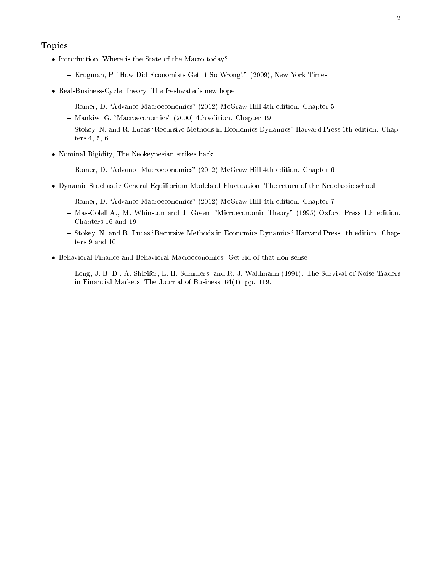#### Topics

- Introduction, Where is the State of the Macro today?
	- Krugman, P. "How Did Economists Get It So Wrong?" (2009), New York Times
- Real-Business-Cycle Theory, The freshwater's new hope
	- Romer, D. "Advance Macroeconomics" (2012) McGraw-Hill 4th edition. Chapter 5
	- Mankiw, G. "Macroeconomics" (2000) 4th edition. Chapter 19
	- Stokey, N. and R. Lucas "Recursive Methods in Economics Dynamics" Harvard Press 1th edition. Chapters 4, 5, 6
- Nominal Rigidity, The Neokeynesian strikes back
	- Romer, D. "Advance Macroeconomics" (2012) McGraw-Hill 4th edition. Chapter 6
- Dynamic Stochastic General Equilibrium Models of Fluctuation, The return of the Neoclassic school
	- Romer, D. "Advance Macroeconomics" (2012) McGraw-Hill 4th edition. Chapter 7
	- Mas-Colell, A., M. Whinston and J. Green, "Microeconomic Theory" (1995) Oxford Press 1th edition. Chapters 16 and 19
	- Stokey, N. and R. Lucas "Recursive Methods in Economics Dynamics" Harvard Press 1th edition. Chapters 9 and 10
- Behavioral Finance and Behavioral Macroeconomics. Get rid of that non sense
	- Long, J. B. D., A. Shleifer, L. H. Summers, and R. J. Waldmann (1991): The Survival of Noise Traders in Financial Markets, The Journal of Business, 64(1), pp. 119.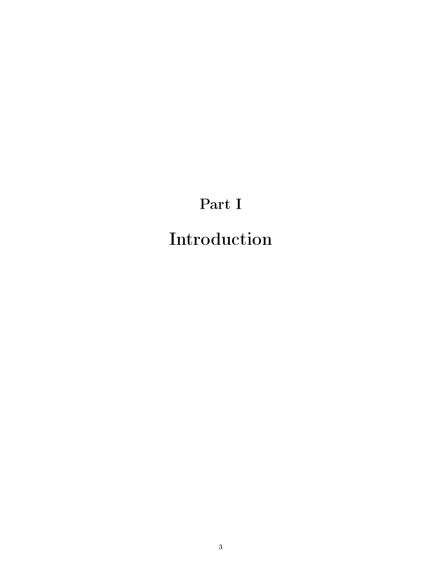# Part I Introduction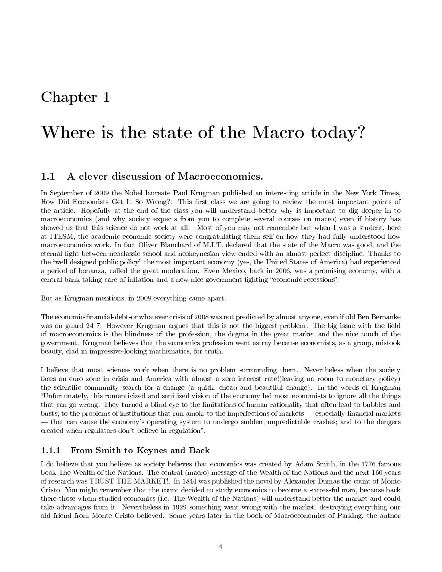# Chapter 1

# Where is the state of the Macro today?

# 1.1 A clever discussion of Macroeconomics.

In September of 2009 the Nobel laureate Paul Krugman published an interesting article in the New York Times, How Did Economists Get It So Wrong?. This first class we are going to review the most important points of the article. Hopefully at the end of the class you will understand better why is important to dig deeper in to macroeconomics (and why society expects from you to complete several courses on macro) even if history has showed us that this science do not work at all. Most of you may not remember but when I was a student, here at ITESM, the academic economic society were congratulating them self on how they had fully understood how macroeconomics work. In fact Oliver Blanchard of M.I.T. declared that the state of the Macro was good, and the eternal fight between neoclassic school and neokeynesian view ended with an almost perfect discipline. Thanks to the "well designed public policy" the most important economy (yes, the United States of America) had experienced a period of bonanza, called the great moderation. Even Mexico, back in 2006, was a promising economy, with a central bank taking care of inflation and a new nice government fighting "economic recessions".

But as Krugman mentions, in 2008 everything came apart.

The economic-financial-debt-or whatever crisis of 2008 was not predicted by almost anyone, even if old Ben Bernanke was on guard 24.7. However Krugman argues that this is not the biggest problem. The big issue with the field of macroeconomics is the blindness of the profession, the dogma in the great market and the nice touch of the government. Krugman believes that the economics profession went astray because economists, as a group, mistook beauty, clad in impressive-looking mathematics, for truth.

I believe that most sciences work when there is no problem surrounding them. Nevertheless when the society faces an euro zone in crisis and America with almost a zero interest rate!(leaving no room to monetary policy) the scientific community search for a change (a quick, cheap and beautiful change). In the words of Krugman Unfortunately, this romanticized and sanitized vision of the economy led most economists to ignore all the things that can go wrong. They turned a blind eye to the limitations of human rationality that often lead to bubbles and busts; to the problems of institutions that run amok; to the imperfections of markets — especially financial markets that can cause the economy's operating system to undergo sudden, unpredictable crashes; and to the dangers created when regulators don't believe in regulation".

### 1.1.1 From Smith to Keynes and Back

I do believe that you believe as society believes that economics was created by Adam Smith, in the 1776 famous book The Wealth of the Nations. The central (macro) message of the Wealth of the Nations and the next 160 years of research was TRUST THE MARKET!. In 1844 was published the novel by Alexander Dumas the count of Monte Cristo. You might remember that the count decided to study economics to become a successful man, because back there those whom studied economics (i.e. The Wealth of the Nations) will understand better the market and could take advantages from it. Nevertheless in 1929 something went wrong with the market, destroying everything our old friend from Monte Cristo believed. Some years later in the book of Macroeconomics of Parking, the author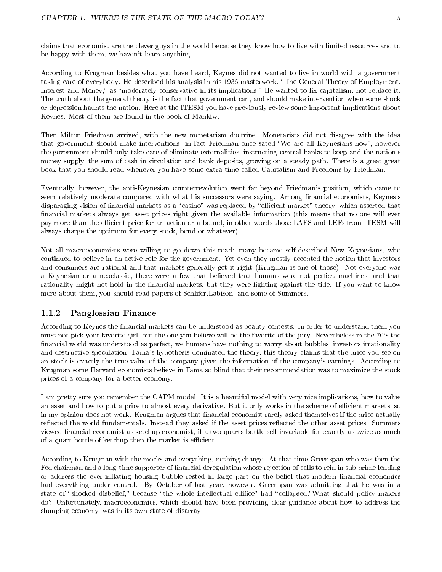claims that economist are the clever guys in the world because they know how to live with limited resources and to be happy with them, we haven't learn anything.

According to Krugman besides what you have heard, Keynes did not wanted to live in world with a government taking care of everybody. He described his analysis in his 1936 masterwork, "The General Theory of Employment, Interest and Money," as "moderately conservative in its implications." He wanted to fix capitalism, not replace it. The truth about the general theory is the fact that government can, and should make intervention when some shock or depression haunts the nation. Here at the ITESM you have previously review some important implications about Keynes. Most of them are found in the book of Mankiw.

Then Milton Friedman arrived, with the new monetarism doctrine. Monetarists did not disagree with the idea that government should make interventions, in fact Friedman once sated "We are all Keynesians now", however the government should only take care of eliminate externalities, instructing central banks to keep and the nation's money supply, the sum of cash in circulation and bank deposits, growing on a steady path. There is a great great book that you should read whenever you have some extra time called Capitalism and Freedoms by Friedman.

Eventually, however, the anti-Keynesian counterrevolution went far beyond Friedman's position, which came to seem relatively moderate compared with what his successors were saying. Among financial economists, Keynes's disparaging vision of financial markets as a "casino" was replaced by "efficient market" theory, which asserted that nancial markets always get asset prices right given the available information (this means that no one will ever pay more than the efficient price for an action or a bound, in other words those LAFS and LEFs from ITESM will always charge the optimum for every stock, bond or whatever)

Not all macroeconomists were willing to go down this road: many became self-described New Keynesians, who continued to believe in an active role for the government. Yet even they mostly accepted the notion that investors and consumers are rational and that markets generally get it right (Krugman is one of those). Not everyone was a Keynesian or a neoclassic, there were a few that believed that humans were not perfect machines, and that rationality might not hold in the financial markets, but they were fighting against the tide. If you want to know more about them, you should read papers of Schlifer,Labison, and some of Summers.

### 1.1.2 Panglossian Finance

According to Keynes the financial markets can be understood as beauty contests. In order to understand them you must not pick your favorite girl, but the one you believe will be the favorite of the jury. Nevertheless in the 70's the financial world was understood as perfect, we humans have nothing to worry about bubbles, investors irrationality and destructive speculation. Fama's hypothesis dominated the theory, this theory claims that the price you see on an stock is exactly the true value of the company given the information of the company's earnings. According to Krugman some Harvard economists believe in Fama so blind that their recommendation was to maximize the stock prices of a company for a better economy.

I am pretty sure you remember the CAPM model. It is a beautiful model with very nice implications, how to value an asset and how to put a price to almost every derivative. But it only works in the scheme of efficient markets, so in my opinion does not work. Krugman argues that financial economist rarely asked themselves if the price actually reflected the world fundamentals. Instead they asked if the asset prices reflected the other asset prices. Summers viewed financial economist as ketchup economist, if a two quarts bottle sell invariable for exactly as twice as much of a quart bottle of ketchup then the market is efficient.

According to Krugman with the mocks and everything, nothing change. At that time Greenspan who was then the Fed chairman and a long-time supporter of financial deregulation whose rejection of calls to rein in sub prime lending or address the ever-inflating housing bubble rested in large part on the belief that modern financial economics had everything under control. By October of last year, however, Greenspan was admitting that he was in a state of "shocked disbelief," because "the whole intellectual edifice" had "collapsed."What should policy makers do? Unfortunately, macroeconomics, which should have been providing clear guidance about how to address the slumping economy, was in its own state of disarray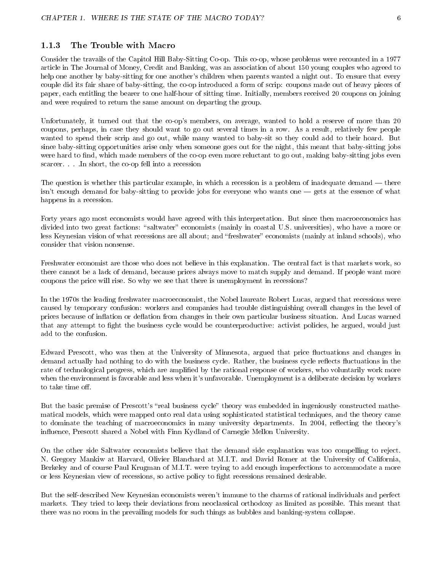#### 1.1.3 The Trouble with Macro

Consider the travails of the Capitol Hill Baby-Sitting Co-op. This co-op, whose problems were recounted in a 1977 article in The Journal of Money, Credit and Banking, was an association of about 150 young couples who agreed to help one another by baby-sitting for one another's children when parents wanted a night out. To ensure that every couple did its fair share of baby-sitting, the co-op introduced a form of scrip: coupons made out of heavy pieces of paper, each entitling the bearer to one half-hour of sitting time. Initially, members received 20 coupons on joining and were required to return the same amount on departing the group.

Unfortunately, it turned out that the co-op's members, on average, wanted to hold a reserve of more than 20 coupons, perhaps, in case they should want to go out several times in a row. As a result, relatively few people wanted to spend their scrip and go out, while many wanted to baby-sit so they could add to their hoard. But since baby-sitting opportunities arise only when someone goes out for the night, this meant that baby-sitting jobs were hard to find, which made members of the co-op even more reluctant to go out, making baby-sitting jobs even scarcer. . . .In short, the co-op fell into a recession

The question is whether this particular example, in which a recession is a problem of inadequate demand — there isn't enough demand for baby-sitting to provide jobs for everyone who wants one  $-$  gets at the essence of what happens in a recession.

Forty years ago most economists would have agreed with this interpretation. But since then macroeconomics has divided into two great factions: "saltwater" economists (mainly in coastal U.S. universities), who have a more or less Keynesian vision of what recessions are all about; and "freshwater" economists (mainly at inland schools), who consider that vision nonsense.

Freshwater economist are those who does not believe in this explanation. The central fact is that markets work, so there cannot be a lack of demand, because prices always move to match supply and demand. If people want more coupons the price will rise. So why we see that there is unemployment in recessions?

In the 1970s the leading freshwater macroeconomist, the Nobel laureate Robert Lucas, argued that recessions were caused by temporary confusion: workers and companies had trouble distinguishing overall changes in the level of prices because of inflation or deflation from changes in their own particular business situation. And Lucas warned that any attempt to fight the business cycle would be counterproductive: activist policies, he argued, would just add to the confusion.

Edward Prescott, who was then at the University of Minnesota, argued that price fluctuations and changes in demand actually had nothing to do with the business cycle. Rather, the business cycle reflects fluctuations in the rate of technological progress, which are amplified by the rational response of workers, who voluntarily work more when the environment is favorable and less when it's unfavorable. Unemployment is a deliberate decision by workers to take time off.

But the basic premise of Prescott's "real business cycle" theory was embedded in ingeniously constructed mathematical models, which were mapped onto real data using sophisticated statistical techniques, and the theory came to dominate the teaching of macroeconomics in many university departments. In 2004, reflecting the theory's influence, Prescott shared a Nobel with Finn Kydland of Carnegie Mellon University.

On the other side Saltwater economists believe that the demand side explanation was too compelling to reject. N. Gregory Mankiw at Harvard, Olivier Blanchard at M.I.T. and David Romer at the University of California, Berkeley and of course Paul Krugman of M.I.T. were trying to add enough imperfections to accommodate a more or less Keynesian view of recessions, so active policy to fight recessions remained desirable.

But the self-described New Keynesian economists weren't immune to the charms of rational individuals and perfect markets. They tried to keep their deviations from neoclassical orthodoxy as limited as possible. This meant that there was no room in the prevailing models for such things as bubbles and banking-system collapse.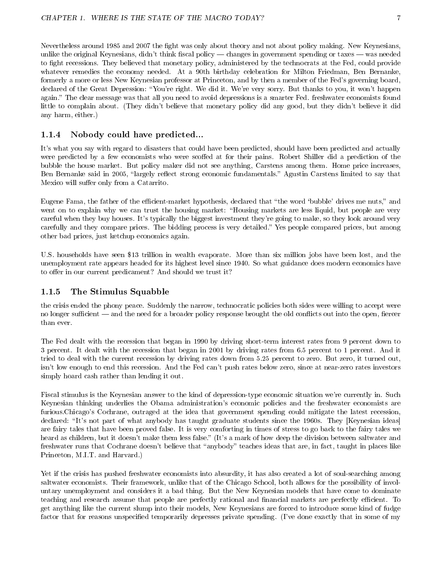Nevertheless around 1985 and 2007 the fight was only about theory and not about policy making. New Keynesians, unlike the original Keynesians, didn't think fiscal policy  $-$  changes in government spending or taxes  $-$  was needed to fight recessions. They believed that monetary policy, administered by the technocrats at the Fed, could provide whatever remedies the economy needed. At a 90th birthday celebration for Milton Friedman, Ben Bernanke, formerly a more or less New Keynesian professor at Princeton, and by then a member of the Fed's governing board, declared of the Great Depression: "You're right. We did it. We're very sorry. But thanks to you, it won't happen again. The clear message was that all you need to avoid depressions is a smarter Fed. freshwater economists found little to complain about. (They didn't believe that monetary policy did any good, but they didn't believe it did any harm, either.)

#### 1.1.4 Nobody could have predicted...

It's what you say with regard to disasters that could have been predicted, should have been predicted and actually were predicted by a few economists who were scoffed at for their pains. Robert Shiller did a prediction of the bubble the house market. But policy maker did not see anything, Carstens among them. Home price increases, Ben Bernanke said in 2005, "largely reflect strong economic fundamentals." Agustin Carstens limited to say that Mexico will suffer only from a Catarrito.

Eugene Fama, the father of the efficient-market hypothesis, declared that "the word 'bubble' drives me nuts," and went on to explain why we can trust the housing market: "Housing markets are less liquid, but people are very careful when they buy houses. It's typically the biggest investment they're going to make, so they look around very carefully and they compare prices. The bidding process is very detailed. Yes people compared prices, but among other bad prices, just ketchup economics again.

U.S. households have seen \$13 trillion in wealth evaporate. More than six million jobs have been lost, and the unemployment rate appears headed for its highest level since 1940. So what guidance does modern economics have to offer in our current predicament? And should we trust it?

#### 1.1.5 The Stimulus Squabble

the crisis ended the phony peace. Suddenly the narrow, technocratic policies both sides were willing to accept were no longer sufficient — and the need for a broader policy response brought the old conflicts out into the open, fiercer than ever.

The Fed dealt with the recession that began in 1990 by driving short-term interest rates from 9 percent down to 3 percent. It dealt with the recession that began in 2001 by driving rates from 6.5 percent to 1 percent. And it tried to deal with the current recession by driving rates down from 5.25 percent to zero. But zero, it turned out, isn't low enough to end this recession. And the Fed can't push rates below zero, since at near-zero rates investors simply hoard cash rather than lending it out.

Fiscal stimulus is the Keynesian answer to the kind of depression-type economic situation we're currently in. Such Keynesian thinking underlies the Obama administration's economic policies and the freshwater economists are furious.Chicago's Cochrane, outraged at the idea that government spending could mitigate the latest recession, declared: "It's not part of what anybody has taught graduate students since the 1960s. They [Keynesian ideas] are fairy tales that have been proved false. It is very comforting in times of stress to go back to the fairy tales we heard as children, but it doesn't make them less false." (It's a mark of how deep the division between saltwater and freshwater runs that Cochrane doesn't believe that "anybody" teaches ideas that are, in fact, taught in places like Princeton, M.I.T. and Harvard.)

Yet if the crisis has pushed freshwater economists into absurdity, it has also created a lot of soul-searching among saltwater economists. Their framework, unlike that of the Chicago School, both allows for the possibility of involuntary unemployment and considers it a bad thing. But the New Keynesian models that have come to dominate teaching and research assume that people are perfectly rational and financial markets are perfectly efficient. To get anything like the current slump into their models, New Keynesians are forced to introduce some kind of fudge factor that for reasons unspecified temporarily depresses private spending. (I've done exactly that in some of my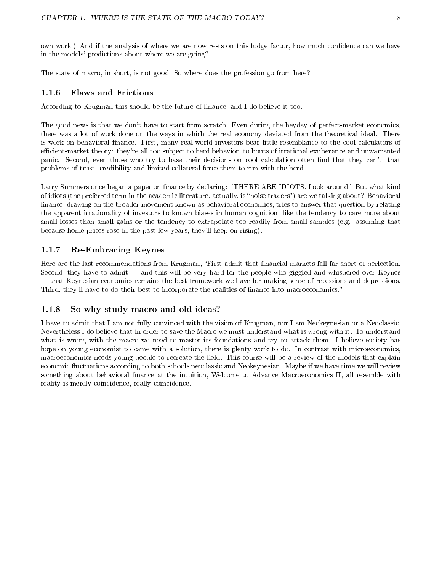own work.) And if the analysis of where we are now rests on this fudge factor, how much condence can we have in the models' predictions about where we are going?

The state of macro, in short, is not good. So where does the profession go from here?

#### 1.1.6 Flaws and Frictions

According to Krugman this should be the future of nance, and I do believe it too.

The good news is that we don't have to start from scratch. Even during the heyday of perfect-market economics, there was a lot of work done on the ways in which the real economy deviated from the theoretical ideal. There is work on behavioral nance. First, many real-world investors bear little resemblance to the cool calculators of efficient-market theory: they're all too subject to herd behavior, to bouts of irrational exuberance and unwarranted panic. Second, even those who try to base their decisions on cool calculation often find that they can't, that problems of trust, credibility and limited collateral force them to run with the herd.

Larry Summers once began a paper on finance by declaring: "THERE ARE IDIOTS. Look around." But what kind of idiots (the preferred term in the academic literature, actually, is "noise traders") are we talking about? Behavioral finance, drawing on the broader movement known as behavioral economics, tries to answer that question by relating the apparent irrationality of investors to known biases in human cognition, like the tendency to care more about small losses than small gains or the tendency to extrapolate too readily from small samples (e.g., assuming that because home prices rose in the past few years, they'll keep on rising).

#### 1.1.7 Re-Embracing Keynes

Here are the last recommendations from Krugman, "First admit that financial markets fall far short of perfection, Second, they have to admit  $-$  and this will be very hard for the people who giggled and whispered over Keynes that Keynesian economics remains the best framework we have for making sense of recessions and depressions. Third, they'll have to do their best to incorporate the realities of finance into macroeconomics."

#### 1.1.8 So why study macro and old ideas?

I have to admit that I am not fully convinced with the vision of Krugman, nor I am Neokeynesian or a Neoclassic. Nevertheless I do believe that in order to save the Macro we must understand what is wrong with it. To understand what is wrong with the macro we need to master its foundations and try to attack them. I believe society has hope on young economist to came with a solution, there is plenty work to do. In contrast with microeconomics, macroeconomics needs young people to recreate the field. This course will be a review of the models that explain economic fluctuations according to both schools neoclassic and Neokeynesian. Maybe if we have time we will review something about behavioral finance at the intuition, Welcome to Advance Macroeconomics II, all resemble with reality is merely coincidence, really coincidence.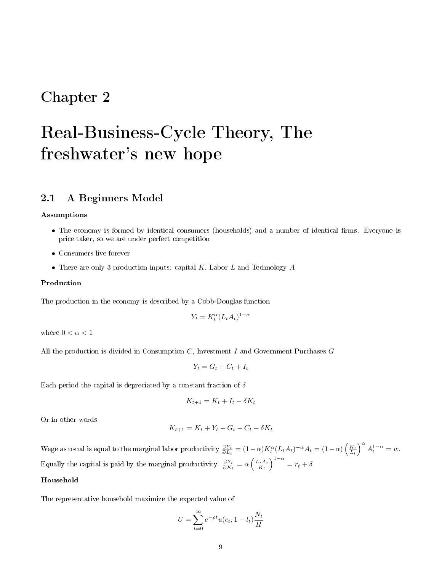# Chapter 2

# Real-Business-Cycle Theory, The freshwater's new hope

## 2.1 A Beginners Model

#### Assumptions

- The economy is formed by identical consumers (households) and a number of identical firms. Everyone is price taker, so we are under perfect competition
- Consumers live forever
- There are only 3 production inputs: capital  $K$ , Labor  $L$  and Technology  $A$

#### Production

The production in the economy is described by a Cobb-Douglas function

$$
Y_t = K_t^{\alpha} (L_t A_t)^{1-\alpha}
$$

where  $0<\alpha<1$ 

All the production is divided in Consumption  $C$ , Investment  $I$  and Government Purchases  $G$ 

$$
Y_t = G_t + C_t + I_t
$$

Each period the capital is depreciated by a constant fraction of  $\delta$ 

$$
K_{t+1} = K_t + I_t - \delta K_t
$$

Or in other words

$$
K_{t+1} = K_t + Y_t - G_t - C_t - \delta K_t
$$

Wage as usual is equal to the marginal labor productivity  $\frac{\partial Y_t}{\partial L_t} = (1-\alpha)K_t^{\alpha}(L_t A_t)^{-\alpha}A_t = (1-\alpha)\left(\frac{K_t}{L_t}\right)^{\alpha}A_t^{1-\alpha} = w$ . Equally the capital is paid by the marginal productivity.  $\frac{\partial Y_t}{\partial K_t} = \alpha \left(\frac{L_t A_t}{K_t}\right)^{1-\alpha} = r_t + \delta$ 

#### Household

The representative household maximize the expected value of

$$
U = \sum_{t=0}^{\infty} e^{-\rho t} u(c_t, 1 - l_t) \frac{N_t}{H}
$$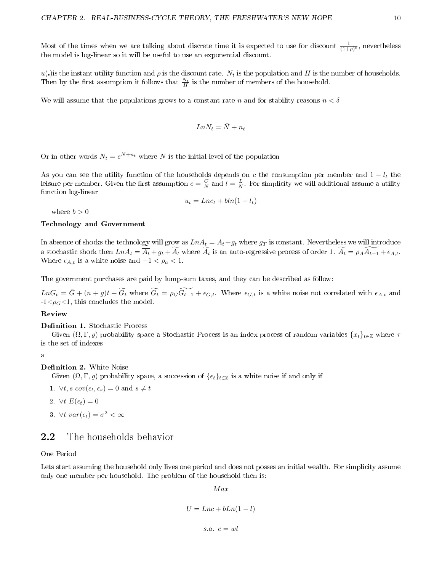Most of the times when we are talking about discrete time it is expected to use for discount  $\frac{1}{(1+\rho)^t}$ , nevertheless the model is log-linear so it will be useful to use an exponential discount.

u(.) is the instant utility function and  $\rho$  is the discount rate.  $N_t$  is the population and H is the number of households. Then by the first assumption it follows that  $\frac{N_t}{H}$  is the number of members of the household.

We will assume that the populations grows to a constant rate n and for stability reasons  $n < \delta$ 

$$
Ln N_t = \bar{N} + n_t
$$

Or in other words  $N_t = e^{N+n_t}$  where  $\overline{N}$  is the initial level of the population

As you can see the utility function of the households depends on c the consumption per member and  $1 - l_t$  the leisure per member. Given the first assumption  $c=\frac{C}{N}$  and  $l=\frac{L}{N}$ . For simplicity we will additional assume a utility function log-linear

$$
u_t = Lnc_t + bln(1 - l_t)
$$

where  $b > 0$ 

#### Technology and Government

In absence of shocks the technology will grow as  $LnA_t = \overline{A_t} + g_t$  where  $g_T$  is constant. Nevertheless we will introduce a stochastic shock then  $LnA_t = \overline{A_t} + g_t + \overline{A_t}$  where  $\overline{A_t}$  is an auto-regressive process of order 1.  $\overline{A_t} = \rho_A \overline{A_{t-1}} + \epsilon_{A,t}$ . Where  $\epsilon_{A,t}$  is a white noise and  $-1 < \rho_a < 1$ .

The government purchases are paid by lump-sum taxes, and they can be described as follow:

 $LnG_t = \bar{G} + (n+g)t + \widetilde{G_t}$  where  $\widetilde{G_t} = \rho_G \widetilde{G_{t-1}} + \epsilon_{G,t}$ . Where  $\epsilon_{G,t}$  is a white noise not correlated with  $\epsilon_{A,t}$  and  $-1 < \rho_G < 1$ , this concludes the model.

#### Review

#### Definition 1. Stochastic Process

Given  $(\Omega, \Gamma, \rho)$  probability space a Stochastic Process is an index process of random variables  $\{x_t\}_{t\in\mathbb{Z}}$  where  $\tau$ is the set of indexes

#### a

#### **Definition 2.** White Noise

Given  $(\Omega, \Gamma, \varrho)$  probability space, a succession of  $\{\epsilon_t\}_{t\in\mathbb{Z}}$  is a white noise if and only if

- 1.  $\forall t, s \; cov(\epsilon_t, \epsilon_s) = 0$  and  $s \neq t$
- 2.  $\forall t \ E(\epsilon_t) = 0$
- 3.  $\forall t \; var(\epsilon_t) = \sigma^2 < \infty$

## 2.2 The households behavior

#### One Period

Lets start assuming the household only lives one period and does not posses an initial wealth. For simplicity assume only one member per household. The problem of the household then is:

M ax

$$
U = Lnc + bLn(1 - l)
$$

s.a.  $c = wl$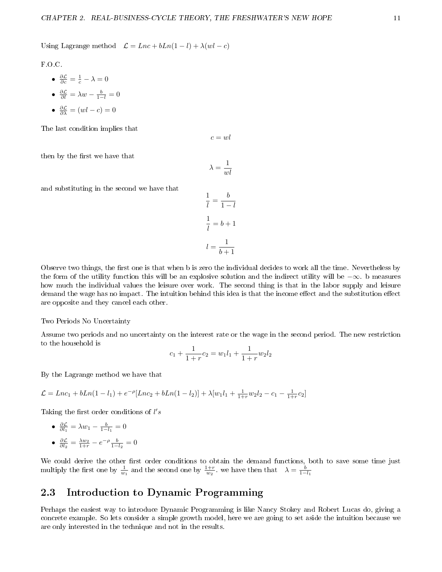Using Lagrange method  $\mathcal{L} = Lnc + bLn(1 - l) + \lambda(wl - c)$ 

F.O.C.

- $\frac{\partial \mathcal{L}}{\partial c} = \frac{1}{c} \lambda = 0$
- $\frac{\partial \mathcal{L}}{\partial l} = \lambda w \frac{b}{1-l} = 0$
- $\frac{\partial \mathcal{L}}{\partial \lambda} = (wl c) = 0$

The last condition implies that

 $c = w l$ 

then by the first we have that

$$
\lambda=\frac{1}{wl}
$$

and substituting in the second we have that

$$
\frac{1}{l} = \frac{b}{1-l}
$$

$$
\frac{1}{l} = b+1
$$

$$
l = \frac{1}{b+1}
$$

Observe two things, the first one is that when b is zero the individual decides to work all the time. Nevertheless by the form of the utility function this will be an explosive solution and the indirect utility will be −∞. b measures how much the individual values the leisure over work. The second thing is that in the labor supply and leisure demand the wage has no impact. The intuition behind this idea is that the income effect and the substitution effect are opposite and they cancel each other.

Two Periods No Uncertainty

Assume two periods and no uncertainty on the interest rate or the wage in the second period. The new restriction to the household is

$$
c_1 + \frac{1}{1+r}c_2 = w_1l_1 + \frac{1}{1+r}w_2l_2
$$

By the Lagrange method we have that

$$
\mathcal{L} = Lnc_1 + bLn(1 - l_1) + e^{-\rho}[Lnc_2 + bLn(1 - l_2)] + \lambda[w_1l_1 + \frac{1}{1+r}w_2l_2 - c_1 - \frac{1}{1+r}c_2]
$$

Taking the first order conditions of  $l's$ 

\n- $$
\frac{\partial \mathcal{L}}{\partial l_1} = \lambda w_1 - \frac{b}{1 - l_1} = 0
$$
\n- $\frac{\partial \mathcal{L}}{\partial l_2} = \frac{\lambda w_2}{1 + r} - e^{-\rho} \frac{b}{1 - l_2} = 0$
\n

We could derive the other first order conditions to obtain the demand functions, both to save some time just multiply the first one by  $\frac{1}{w_1}$  and the second one by  $\frac{1+r}{w_2}$ , we have then that  $\lambda = \frac{b}{1-l_1}$ 

# 2.3 Introduction to Dynamic Programming

Perhaps the easiest way to introduce Dynamic Programming is like Nancy Stokey and Robert Lucas do, giving a concrete example. So lets consider a simple growth model, here we are going to set aside the intuition because we are only interested in the technique and not in the results.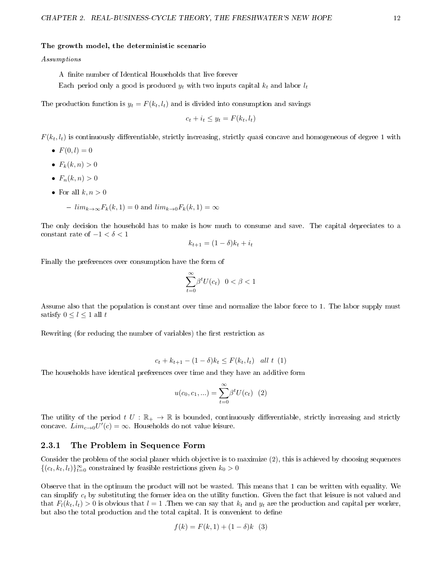#### The growth model, the deterministic scenario

#### Assumptions

A finite number of Identical Households that live forever

Each period only a good is produced  $y_t$  with two inputs capital  $k_t$  and labor  $l_t$ 

The production function is  $y_t = F(k_t, l_t)$  and is divided into consumption and savings

$$
c_t + i_t \leq y_t = F(k_t, l_t)
$$

 $F(k_t, l_t)$  is continuously differentiable, strictly increasing, strictly quasi concave and homogeneous of degree 1 with

- $F(0, l) = 0$
- $F_k(k, n) > 0$
- $F_n(k, n) > 0$
- For all  $k, n > 0$ 
	- $\lim_{k\to\infty}F_k(k,1)=0$  and  $\lim_{k\to 0}F_k(k,1)=\infty$

The only decision the household has to make is how much to consume and save. The capital depreciates to a constant rate of  $-1 < \delta < 1$ 

$$
k_{t+1} = (1 - \delta)k_t + i_t
$$

Finally the preferences over consumption have the form of

$$
\sum_{t=0}^{\infty}\!\beta^t U(c_t)\ \ 0<\beta<1
$$

Assume also that the population is constant over time and normalize the labor force to 1. The labor supply must satisfy  $0\leq l\leq 1$ all $t$ 

Rewriting (for reducing the number of variables) the first restriction as

$$
c_t + k_{t+1} - (1 - \delta)k_t \leq F(k_t, l_t)
$$
 all t (1)

The households have identical preferences over time and they have an additive form

$$
u(c_0, c_1, \ldots) = \sum_{t=0}^{\infty} \beta^t U(c_t) \quad (2)
$$

The utility of the period  $t U : \mathbb{R}_+ \to \mathbb{R}$  is bounded, continuously differentiable, strictly increasing and strictly concave.  $Lim_{c\rightarrow 0}U'(c)=\infty$ . Households do not value leisure.

#### 2.3.1 The Problem in Sequence Form

Consider the problem of the social planer which objective is to maximize (2), this is achieved by choosing sequences  $\{(c_t, k_t, l_t)\}_{t=0}^{\infty}$  constrained by feasible restrictions given  $k_0 > 0$ 

Observe that in the optimum the product will not be wasted. This means that 1 can be written with equality. We can simplify  $c_t$  by substituting the former idea on the utility function. Given the fact that leisure is not valued and that  $F_l(k_t, l_t) > 0$  is obvious that  $l = 1$ . Then we can say that  $k_t$  and  $y_t$  are the production and capital per worker, but also the total production and the total capital. It is convenient to define

$$
f(k) = F(k, 1) + (1 - \delta)k \quad (3)
$$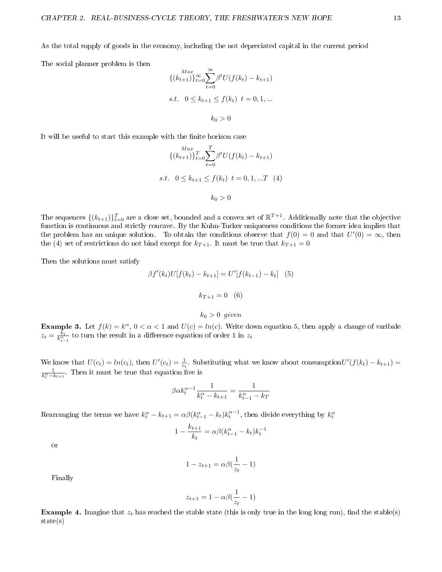As the total supply of goods in the economy, including the not depreciated capital in the current period

The social planner problem is then

$$
\{ (k_{t+1}) \}_{t=0}^{\infty} \sum_{t=0}^{\infty} \beta^t U(f(k_t) - k_{t+1})
$$
  
s.t.  $0 \le k_{t+1} \le f(k_t) \ t = 0, 1, ...$   
 $k_0 > 0$ 

It will be useful to start this example with the finite horizon case

$$
\{ (k_{t+1}) \}_{t=0}^{Max} \sum_{t=0}^{T} \beta^t U(f(k_t) - k_{t+1})
$$
  
s.t.  $0 \le k_{t+1} \le f(k_t) \ t = 0, 1, ...T \tag{4}$   
 $k_0 > 0$ 

The sequences  $\{(k_{t+1})\}_{t=0}^T$  are a close set, bounded and a convex set of  $\mathbb{R}^{T+1}$ . Additionally note that the objective function is continuous and strictly concave. By the Kuhn-Tucker uniqueness conditions the former idea implies that the problem has an unique solution. To obtain the conditions observe that  $f(0) = 0$  and that  $U'(0) = \infty$ , then the (4) set of restrictions do not bind except for  $k_{T+1}$ . It must be true that  $k_{T+1} = 0$ 

Then the solutions must satisfy

$$
\beta f'(k_t)U[f(k_t) - k_{t+1}] = U'[f(k_{t-1}) - k_t] \quad (5)
$$

$$
k_{T+1} = 0 \quad (6)
$$

 $k_0 > 0$  given

**Example 3.** Let  $f(k) = k^{\alpha}, 0 < \alpha < 1$  and  $U(c) = ln(c)$ . Write down equation 5, then apply a change of varibale  $z_t = \frac{k_t}{k_{t-1}^{\alpha}}$  to turn the result in a difference equation of order 1 in  $z_t$ 

We know that  $U(c_t) = ln(c_t)$ , then  $U'(c_t) = \frac{1}{c_t}$ . Substituting what we know about consumption  $U'(f(k_t) - k_{t+1}) =$  $\frac{1}{k_t^{\alpha}-k_{t+1}}$ . Then it must be true that equation five is

$$
\beta \alpha k_t^{\alpha - 1} \frac{1}{k_t^{\alpha} - k_{t+1}} = \frac{1}{k_{t-1}^{\alpha} - k_T}
$$

Rearranging the terms we have  $k_t^{\alpha} - k_{t+1} = \alpha \beta (k_{t-1}^{\alpha} - k_t) k_t^{\alpha-1}$ , then divide everything by  $k_t^{\alpha}$ 

$$
1 - \frac{k_{t+1}}{k_t} = \alpha \beta (k_{t-1}^{\alpha} - k_t) k_t^{-1}
$$

or

$$
1 - z_{t+1} = \alpha \beta \left(\frac{1}{z_t} - 1\right)
$$

Finally

$$
z_{t+1} = 1 - \alpha \beta \left(\frac{1}{z_t} - 1\right)
$$

Example 4. Imagine that  $z_t$  has reached the stable state (this is only true in the long long run), find the stable(s) state(s)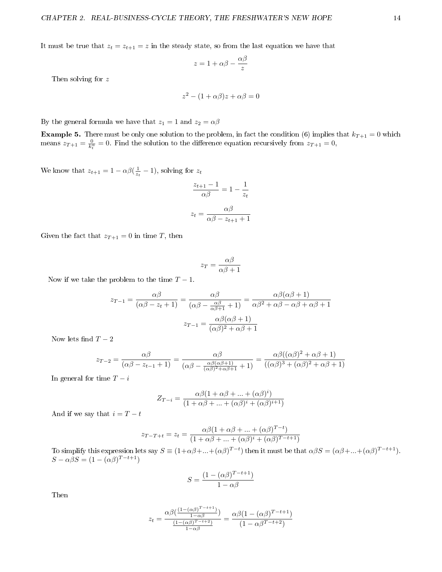It must be true that  $z_t = z_{t+1} = z$  in the steady state, so from the last equation we have that

$$
z = 1 + \alpha \beta - \frac{\alpha \beta}{z}
$$

Then solving for z

$$
z^2 - (1 + \alpha \beta)z + \alpha \beta = 0
$$

By the general formula we have that  $z_1 = 1$  and  $z_2 = \alpha \beta$ 

**Example 5.** There must be only one solution to the problem, in fact the condition (6) implies that  $k_{T+1} = 0$  which means  $z_{T+1} = \frac{0}{k_t^{\alpha}} = 0$ . Find the solution to the difference equation recursively from  $z_{T+1} = 0$ ,

We know that  $z_{t+1} = 1 - \alpha \beta(\frac{1}{z_t} - 1)$ , solving for  $z_t$ 

$$
\frac{z_{t+1} - 1}{\alpha \beta} = 1 - \frac{1}{z_t}
$$

$$
z_t = \frac{\alpha \beta}{\alpha \beta - z_{t+1} + 1}
$$

Given the fact that  $z_{T+1} = 0$  in time T, then

$$
z_T = \frac{\alpha \beta}{\alpha \beta + 1}
$$

Now if we take the problem to the time  $T-1$ .

$$
z_{T-1} = \frac{\alpha \beta}{(\alpha \beta - z_t + 1)} = \frac{\alpha \beta}{(\alpha \beta - \frac{\alpha \beta}{\alpha \beta + 1} + 1)} = \frac{\alpha \beta (\alpha \beta + 1)}{\alpha \beta^2 + \alpha \beta - \alpha \beta + \alpha \beta + 1}
$$

$$
z_{T-1} = \frac{\alpha \beta (\alpha \beta + 1)}{(\alpha \beta)^2 + \alpha \beta + 1}
$$

Now lets find  $T-2$ 

$$
z_{T-2} = \frac{\alpha\beta}{(\alpha\beta - z_{t-1} + 1)} = \frac{\alpha\beta}{(\alpha\beta - \frac{\alpha\beta(\alpha\beta + 1)}{(\alpha\beta)^2 + \alpha\beta + 1} + 1)} = \frac{\alpha\beta((\alpha\beta)^2 + \alpha\beta + 1)}{((\alpha\beta)^3 + (\alpha\beta)^2 + \alpha\beta + 1)}
$$

In general for time  $T - i$ 

$$
Z_{T-i} = \frac{\alpha\beta(1+\alpha\beta+\ldots+(\alpha\beta)^i)}{(1+\alpha\beta+\ldots+(\alpha\beta)^i+(\alpha\beta)^{i+1})}
$$

And if we say that  $i = T - t$ 

$$
z_{T-T+t} = z_t = \frac{\alpha \beta (1 + \alpha \beta + \dots + (\alpha \beta)^{T-t})}{(1 + \alpha \beta + \dots + (\alpha \beta)^i + (\alpha \beta)^{T-t+1})}
$$

To simplify this expression lets say  $S \equiv (1+\alpha\beta+\ldots+(\alpha\beta)^{T-t})$  then it must be that  $\alpha\beta S = (\alpha\beta+\ldots+(\alpha\beta)^{T-t+1})$ .  $S - \alpha \beta S = (1 - (\alpha \beta)^{T-t+1})$ 

$$
S = \frac{(1 - (\alpha \beta)^{T - t + 1})}{1 - \alpha \beta}
$$

Then

$$
z_t = \frac{\alpha \beta \left(\frac{(1 - (\alpha \beta)^{T - t + 1})}{1 - \alpha \beta}\right)}{\frac{(1 - (\alpha \beta)^{T - t + 2})}{1 - \alpha \beta}} = \frac{\alpha \beta (1 - (\alpha \beta)^{T - t + 1})}{(1 - \alpha \beta^{T - t + 2})}
$$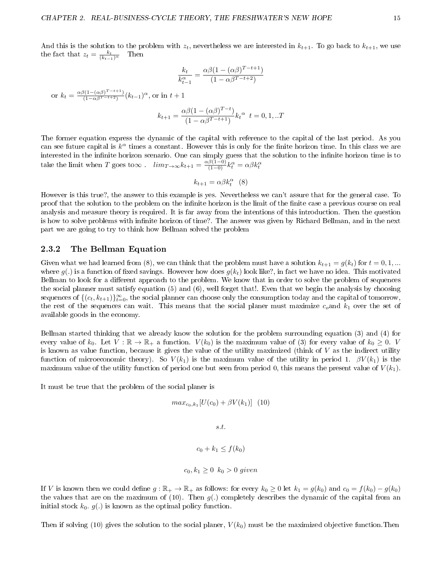And this is the solution to the problem with  $z_t$ , nevertheless we are interested in  $k_{t+1}$ . To go back to  $k_{t+1}$ , we use the fact that  $z_t = \frac{k_t}{(k_{t-1})^{\alpha}}$  Then

$$
\frac{k_t}{k_{t-1}^{\alpha}} = \frac{\alpha \beta (1 - (\alpha \beta)^{T-t+1})}{(1 - \alpha \beta^{T-t+2})}
$$

or  $k_t = \frac{\alpha \beta (1 - (\alpha \beta)^{T-t+1})}{(1 - \alpha \beta^{T-t+2})}$  $\frac{\beta(1-(\alpha\beta)^{1-t+1})}{(1-\alpha\beta^{T-t+2})}(k_{t-1})^{\alpha}$ , or in  $t+1$ 

$$
k_{t+1} = \frac{\alpha \beta (1 - (\alpha \beta)^{T-t})}{(1 - \alpha \beta^{T-t+1})} k_t^{\alpha} \ t = 0, 1, ...T
$$

The former equation express the dynamic of the capital with reference to the capital of the last period. As you can see future capital is  $k^{\alpha}$  times a constant. However this is only for the finite horizon time. In this class we are interested in the infinite horizon scenario. One can simply guess that the solution to the infinite horizon time is to take the limit when T goes to $\infty$ .  $\lim_{T \to \infty} k_{t+1} = \frac{\alpha \beta (1-0)}{(1-0)} k_t^{\alpha} = \alpha \beta k_t^{\alpha}$ 

$$
k_{t+1} = \alpha \beta k_t^{\alpha} \quad (8)
$$

However is this true?, the answer to this example is yes. Nevertheless we can't assure that for the general case. To proof that the solution to the problem on the infinite horizon is the limit of the finite case a previous course on real analysis and measure theory is required. It is far away from the intentions of this introduction. Then the question is how to solve problems with infinite horizon of time?. The answer was given by Richard Bellman, and in the next part we are going to try to think how Bellman solved the problem

#### 2.3.2 The Bellman Equation

Given what we had learned from (8), we can think that the problem must have a solution  $k_{t+1} = g(k_t)$  for  $t = 0, 1, ...$ where  $g(.)$  is a function of fixed savings. However how does  $g(k_t)$  look like?, in fact we have no idea. This motivated Bellman to look for a different approach to the problem. We know that in order to solve the problem of sequences the social planner must satisfy equation (5) and (6), well forget that!. Even that we begin the analysis by choosing sequences of  $\{(c_t, k_{t+1})\}_{t=0}^{\infty}$ , the social planner can choose only the consumption today and the capital of tomorrow, the rest of the sequences can wait. This means that the social planer must maximize  $c_o$  and  $k_1$  over the set of available goods in the economy.

Bellman started thinking that we already know the solution for the problem surrounding equation (3) and (4) for every value of  $k_0$ . Let  $V : \mathbb{R} \to \mathbb{R}_+$  a function.  $V(k_0)$  is the maximum value of (3) for every value of  $k_0 \geq 0$ . V is known as value function, because it gives the value of the utility maximized (think of  $V$  as the indirect utility function of microeconomic theory). So  $V(k_1)$  is the maximum value of the utility in period 1.  $\beta V(k_1)$  is the maximum value of the utility function of period one but seen from period 0, this means the present value of  $V(k_1)$ .

It must be true that the problem of the social planer is

$$
max_{c_0,k_1}[U(c_0) + \beta V(k_1)] \quad (10)
$$

s.t.

$$
c_0 + k_1 \le f(k_0)
$$

$$
c_0, k_1 \ge 0 \ \ k_0 > 0 \ \ given
$$

If V is known then we could define  $g : \mathbb{R}_+ \to \mathbb{R}_+$  as follows: for every  $k_0 \geq 0$  let  $k_1 = g(k_0)$  and  $c_0 = f(k_0) - g(k_0)$ the values that are on the maximum of (10). Then  $g(.)$  completely describes the dynamic of the capital from an initial stock  $k_0$ .  $g(.)$  is known as the optimal policy function.

Then if solving (10) gives the solution to the social planer,  $V(k_0)$  must be the maximized objective function. Then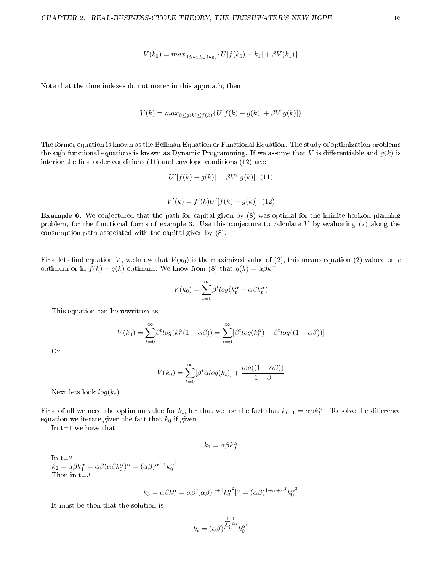$$
V(k_0) = max_{0 \le k_1 \le f(k_0)} \{ U[f(k_0) - k_1] + \beta V(k_1) \}
$$

Note that the time indexes do not mater in this approach, then

$$
V(k) = max_{0 \le g(k) \le f(k)} \{ U[f(k) - g(k)] + \beta V[g(k)] \}
$$

The former equation is known as the Bellman Equation or Functional Equation. The study of optimization problems through functional equations is known as Dynamic Programming. If we assume that V is differentiable and  $g(k)$  is interior the first order conditions  $(11)$  and envelope conditions  $(12)$  are:

$$
U'[f(k) - g(k)] = \beta V'[g(k)] \quad (11)
$$
  

$$
V'(k) = f'(k)U'[f(k) - g(k)] \quad (12)
$$

**Example 6.** We conjectured that the path for capital given by (8) was optimal for the infinite horizon planning problem, for the functional forms of example 3. Use this conjecture to calculate  $V$  by evaluating (2) along the consumption path associated with the capital given by (8).

First lets find equation V, we know that  $V(k_0)$  is the maximized value of (2), this means equation (2) valued on c optimum or in  $f(k) - g(k)$  optimum. We know from (8) that  $g(k) = \alpha \beta k^{\alpha}$ 

$$
V(k_0) = \sum_{t=0}^{\infty} \beta^t log(k_t^{\alpha} - \alpha \beta k_t^{\alpha})
$$

This equation can be rewritten as

$$
V(k_0) = \sum_{t=0}^{\infty} \beta^t log(k_t^{\alpha}(1-\alpha\beta)) = \sum_{t=0}^{\infty} [\beta^t log(k_t^{\alpha}) + \beta^t log((1-\alpha\beta))]
$$

Or

$$
V(k_0) = \sum_{t=0}^{\infty} [\beta^t \alpha \log(k_t)] + \frac{\log((1 - \alpha \beta))}{1 - \beta}
$$

Next lets look  $log(k_t)$ .

First of all we need the optimum value for  $k_t$ , for that we use the fact that  $k_{t+1} = \alpha \beta k_t^{\alpha}$  To solve the difference equation we iterate given the fact that  $k_0$  if given

In  $t=1$  we have that

$$
k_1=\alpha\beta k_0^\alpha
$$

In  $t=2$  $k_2 = \alpha \beta k_1^{\alpha} = \alpha \beta (\alpha \beta k_0^{\alpha})^{\alpha} = (\alpha \beta)^{\alpha+1} k_0^{\alpha^2}$ Then in t=3

$$
k_3 = \alpha \beta k_2^{\alpha} = \alpha \beta [(\alpha \beta)^{\alpha+1} k_0^{\alpha^2}]^{\alpha} = (\alpha \beta)^{1+\alpha+\alpha^2} k_0^{\alpha^3}
$$

It must be then that the solution is

$$
k_t = (\alpha\beta)^{\sum\limits_{i=0}^{t-1}\alpha_i}k_0^{\alpha^t}
$$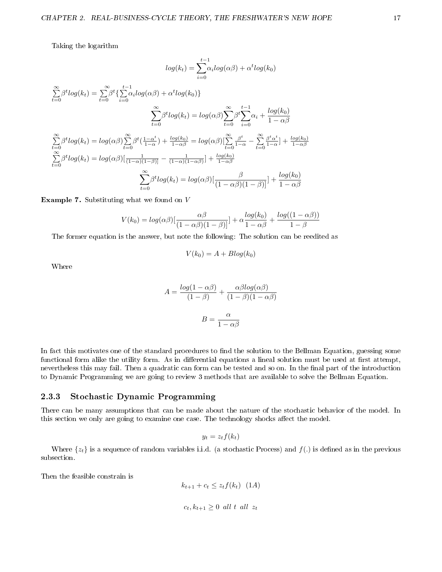Taking the logarithm

$$
log(k_t) = \sum_{i=0}^{t-1} \alpha_i log(\alpha \beta) + \alpha^t log(k_0)
$$

$$
\sum_{t=0}^{\infty} \beta^t log(k_t) = \sum_{t=0}^{\infty} \beta^t \left\{ \sum_{i=0}^{t-1} \alpha_i log(\alpha \beta) + \alpha^t log(k_0) \right\}
$$

$$
\sum_{t=0}^{\infty} \beta^t log(k_t) = log(\alpha \beta) \sum_{t=0}^{\infty} \beta^t \sum_{i=0}^{t-1} \alpha_i + \frac{log(k_0)}{1 - \alpha \beta}
$$

$$
\sum_{t=0}^{\infty} \beta^t log(k_t) = log(\alpha \beta) \sum_{t=0}^{\infty} \beta^t \left( \frac{1 - \alpha^t}{1 - \alpha} \right) + \frac{log(k_0)}{1 - \alpha \beta} = log(\alpha \beta) \left[ \sum_{t=0}^{\infty} \frac{\beta^t}{1 - \alpha} - \sum_{t=0}^{\infty} \frac{\beta^t \alpha^t}{1 - \alpha} \right] + \frac{log(k_0)}{1 - \alpha \beta}
$$

$$
\sum_{t=0}^{\infty} \beta^t log(k_t) = log(\alpha \beta) \left[ \frac{\beta}{(1 - \alpha \beta)(1 - \beta)} \right] + \frac{log(k_0)}{1 - \alpha \beta}
$$

$$
\sum_{t=0}^{\infty} \beta^t log(k_t) = log(\alpha \beta) \left[ \frac{\beta}{(1 - \alpha \beta)(1 - \beta)} \right] + \frac{log(k_0)}{1 - \alpha \beta}
$$

**Example 7.** Substituting what we found on  $V$ 

$$
V(k_0) = log(\alpha \beta) \left[ \frac{\alpha \beta}{(1 - \alpha \beta)(1 - \beta)} \right] + \alpha \frac{log(k_0)}{1 - \alpha \beta} + \frac{log((1 - \alpha \beta))}{1 - \beta}
$$

The former equation is the answer, but note the following: The solution can be reedited as

$$
V(k_0) = A + B \log(k_0)
$$

Where

$$
A = \frac{\log(1 - \alpha \beta)}{(1 - \beta)} + \frac{\alpha \beta \log(\alpha \beta)}{(1 - \beta)(1 - \alpha \beta)}
$$

$$
B = \frac{\alpha}{1 - \alpha \beta}
$$

In fact this motivates one of the standard procedures to find the solution to the Bellman Equation, guessing some functional form alike the utility form. As in differential equations a lineal solution must be used at first attempt, nevertheless this may fail. Then a quadratic can form can be tested and so on. In the final part of the introduction to Dynamic Programming we are going to review 3 methods that are available to solve the Bellman Equation.

#### 2.3.3 Stochastic Dynamic Programming

There can be many assumptions that can be made about the nature of the stochastic behavior of the model. In this section we only are going to examine one case. The technology shocks affect the model.

$$
y_t = z_t f(k_t)
$$

Where  $\{z_t\}$  is a sequence of random variables i.i.d. (a stochastic Process) and  $f(.)$  is defined as in the previous subsection.

Then the feasible constrain is

 $k_{t+1} + c_t \leq z_t f(k_t)$  (1A)  $c_t, k_{t+1} \geq 0$  all t all  $z_t$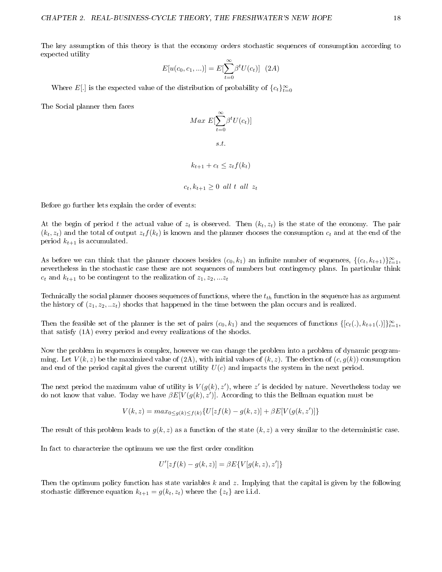The key assumption of this theory is that the economy orders stochastic sequences of consumption according to expected utility

$$
E[u(c_0, c_1,...)] = E[\sum_{t=0}^{\infty} \beta^t U(c_t)] \ (2A)
$$

Where E[.] is the expected value of the distribution of probability of  ${c_t}_{t=0}^{\infty}$ 

The Social planner then faces

# $Max E[\sum_{n=1}^{\infty}]$  $t=0$  $\beta^t U(c_t)]$ s.t.

# $k_{t+1} + c_t \leq z_t f(k_t)$

$$
c_t, k_{t+1} \ge 0 \text{ all } t \text{ all } z_t
$$

Before go further lets explain the order of events:

At the begin of period t the actual value of  $z_t$  is observed. Then  $(k_t, z_t)$  is the state of the economy. The pair  $(k_t, z_t)$  and the total of output  $z_t f(k_t)$  is known and the planner chooses the consumption  $c_t$  and at the end of the period  $k_{t+1}$  is accumulated.

As before we can think that the planner chooses besides  $(c_0, k_1)$  an infinite number of sequences,  $\{(c_t, k_{t+1})\}_{t=1}^{\infty}$ , nevertheless in the stochastic case these are not sequences of numbers but contingency plans. In particular think  $c_t$  and  $k_{t+1}$  to be contingent to the realization of  $z_1, z_2, ... z_t$ 

Technically the social planner chooses sequences of functions, where the  $t_{th}$  function in the sequence has as argument the history of  $(z_1, z_2, ... z_t)$  shocks that happened in the time between the plan occurs and is realized.

Then the feasible set of the planner is the set of pairs  $(c_0, k_1)$  and the sequences of functions  $\{[c_t(.), k_{t+1}(.)]\}_{t=1}^{\infty}$ , that satisfy (1A) every period and every realizations of the shocks.

Now the problem in sequences is complex, however we can change the problem into a problem of dynamic programming. Let  $V(k, z)$  be the maximized value of  $(2A)$ , with initial values of  $(k, z)$ . The election of  $(c, g(k))$  consumption and end of the period capital gives the current utility  $U(c)$  and impacts the system in the next period.

The next period the maximum value of utility is  $V(g(k), z')$ , where  $z'$  is decided by nature. Nevertheless today we do not know that value. Today we have  $\beta E[V(g(k), z')]$ . According to this the Bellman equation must be

$$
V(k, z) = max_{0 \le g(k) \le f(k)} \{ U[zf(k) - g(k, z)] + \beta E[V(g(k, z')] \}
$$

The result of this problem leads to  $q(k, z)$  as a function of the state  $(k, z)$  a very similar to the deterministic case.

In fact to characterize the optimum we use the first order condition

$$
U'[zf(k) - g(k, z)] = \beta E\{V[g(k, z), z']\}
$$

Then the optimum policy function has state variables  $k$  and  $z$ . Implying that the capital is given by the following stochastic difference equation  $k_{t+1} = g(k_t, z_t)$  where the  $\{z_t\}$  are i.i.d.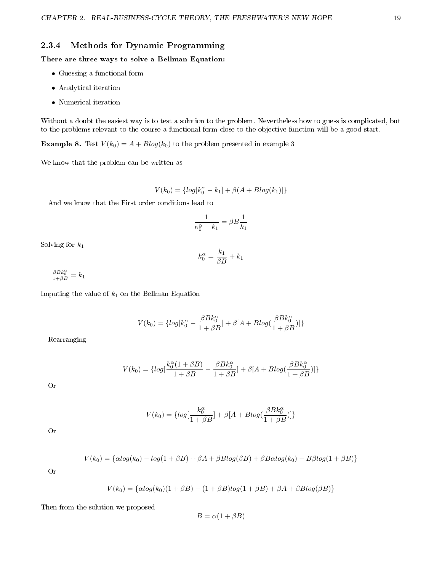## 2.3.4 Methods for Dynamic Programming

#### There are three ways to solve a Bellman Equation:

- Guessing a functional form
- Analytical iteration
- Numerical iteration

Without a doubt the easiest way is to test a solution to the problem. Nevertheless how to guess is complicated, but to the problems relevant to the course a functional form close to the objective function will be a good start.

**Example 8.** Test  $V(k_0) = A + B \log(k_0)$  to the problem presented in example 3

We know that the problem can be written as

$$
V(k_0) = \{log[k_0^{\alpha} - k_1] + \beta(A + Blog(k_1)]\}
$$

And we know that the First order conditions lead to

$$
\frac{1}{\kappa_0^{\alpha} - k_1} = \beta B \frac{1}{k_1}
$$

Solving for  $k_1$ 

$$
k_0^{\alpha} = \frac{k_1}{\beta B} + k_1
$$

 $\frac{\beta B k_0^{\alpha}}{1 + \beta B} = k_1$ 

Imputing the value of  $k_1$  on the Bellman Equation

$$
V(k_0) = \{log[k_0^{\alpha} - \frac{\beta B k_0^{\alpha}}{1 + \beta B}] + \beta [A + B log(\frac{\beta B k_0^{\alpha}}{1 + \beta B})]\}
$$

Rearranging

$$
V(k_0) = \{log[\frac{k_0^{\alpha}(1+\beta B)}{1+\beta B} - \frac{\beta B k_0^{\alpha}}{1+\beta B}] + \beta[A + Blog(\frac{\beta B k_0^{\alpha}}{1+\beta B})]\}
$$

Or

$$
V(k_0) = \{log[\frac{k_0^{\alpha}}{1+\beta B}] + \beta[A + Blog(\frac{\beta B k_0^{\alpha}}{1+\beta B})]\}
$$

Or

$$
V(k_0) = \{ \alpha \log(k_0) - \log(1 + \beta B) + \beta A + \beta B \log(\beta B) + \beta B \alpha \log(k_0) - B \beta \log(1 + \beta B) \}
$$

Or

$$
V(k_0) = \{ \alpha \log(k_0)(1 + \beta B) - (1 + \beta B) \log(1 + \beta B) + \beta A + \beta B \log(\beta B) \}
$$

Then from the solution we proposed

$$
B = \alpha(1 + \beta B)
$$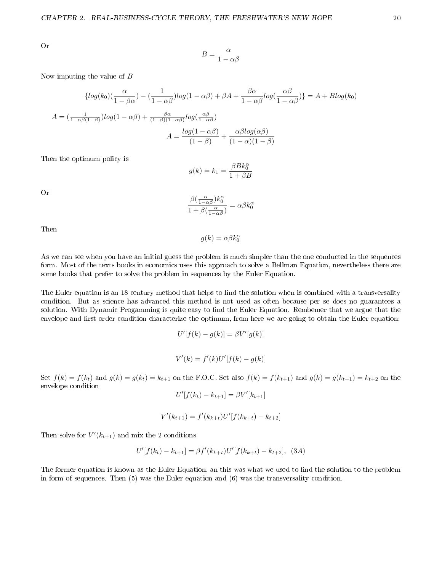Or

$$
B = \frac{\alpha}{1 - \alpha \beta}
$$

Now imputing the value of B

$$
\{ \log(k_0) \left( \frac{\alpha}{1 - \beta \alpha} \right) - \left( \frac{1}{1 - \alpha \beta} \right) \log(1 - \alpha \beta) + \beta A + \frac{\beta \alpha}{1 - \alpha \beta} \log \left( \frac{\alpha \beta}{1 - \alpha \beta} \right) \} = A + B \log(k_0)
$$

$$
A = \left( \frac{1}{1 - \alpha \beta (1 - \beta)} \right) \log(1 - \alpha \beta) + \frac{\beta \alpha}{(1 - \beta)(1 - \alpha \beta)} \log \left( \frac{\alpha \beta}{1 - \alpha \beta} \right)
$$

$$
A = \frac{\log(1 - \alpha \beta)}{(1 - \beta)} + \frac{\alpha \beta \log(\alpha \beta)}{(1 - \alpha)(1 - \beta)}
$$

Then the optimum policy is

$$
g(k) = k_1 = \frac{\beta B k_0^{\alpha}}{1 + \beta B}
$$

Or

$$
\frac{\beta(\frac{\alpha}{1-\alpha\beta})k_0^\alpha}{1+\beta(\frac{\alpha}{1-\alpha\beta})}=\alpha\beta k_0^\alpha
$$

Then

$$
g(k) = \alpha \beta k_0^{\alpha}
$$

As we can see when you have an initial guess the problem is much simpler than the one conducted in the sequences form. Most of the texts books in economics uses this approach to solve a Bellman Equation, nevertheless there are some books that prefer to solve the problem in sequences by the Euler Equation.

The Euler equation is an 18 century method that helps to find the solution when is combined with a transversality condition. But as science has advanced this method is not used as often because per se does no guarantees a solution. With Dynamic Progamming is quite easy to find the Euler Equation. Rembemer that we argue that the envelope and first order condition characterize the optimum, from here we are going to obtain the Euler equation:

$$
U'[f(k) - g(k)] = \beta V'[g(k)]
$$

$$
V'(k) = f'(k)U'[f(k) - g(k)]
$$

Set  $f(k) = f(k_t)$  and  $g(k) = g(k_t) = k_{t+1}$  on the F.O.C. Set also  $f(k) = f(k_{t+1})$  and  $g(k) = g(k_{t+1}) = k_{t+2}$  on the envelope condition

$$
U'[f(k_t) - k_{t+1}] = \beta V'[k_{t+1}]
$$

$$
V'(k_{t+1}) = f'(k_{k+t})U'[f(k_{k+t}) - k_{t+2}]
$$

Then solve for  $V'(k_{t+1})$  and mix the 2 conditions

$$
U'[f(k_t) - k_{t+1}] = \beta f'(k_{k+t})U'[f(k_{k+t}) - k_{t+2}], (3A)
$$

The former equation is known as the Euler Equation, an this was what we used to find the solution to the problem in form of sequences. Then (5) was the Euler equation and (6) was the transversality condition.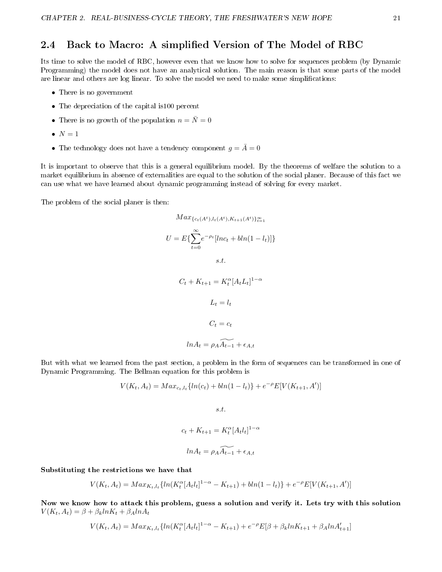# 2.4 Back to Macro: A simplified Version of The Model of RBC

Its time to solve the model of RBC, however even that we know how to solve for sequences problem (by Dynamic Programming) the model does not have an analytical solution. The main reason is that some parts of the model are linear and others are log linear. To solve the model we need to make some simplications:

- There is no government
- The depreciation of the capital is100 percent
- There is no growth of the population  $n = \overline{N} = 0$
- $\bullet$   $N=1$
- The technology does not have a tendency component  $g = \overline{A} = 0$

It is important to observe that this is a general equilibrium model. By the theorems of welfare the solution to a market equilibrium in absence of externalities are equal to the solution of the social planer. Because of this fact we can use what we have learned about dynamic programming instead of solving for every market.

The problem of the social planer is then:

$$
Max_{\{c_t(A^t), l_t(A^t), K_{t+1}(A^t)\}_{t=1}^{\infty}}
$$

$$
U = E\{\sum_{t=0}^{\infty} e^{-\rho_t} [lnc_t + bln(1 - l_t)]\}
$$

$$
s.t.
$$

$$
C_t + K_{t+1} = K_t^{\alpha} [A_t L_t]^{1-\alpha}
$$

$$
L_t = l_t
$$

$$
C_t = c_t
$$

$$
ln A_t = \rho_A \widetilde{A_{t-1}} + \epsilon_{A,t}
$$

But with what we learned from the past section, a problem in the form of sequences can be transformed in one of Dynamic Programming. The Bellman equation for this problem is

$$
V(K_t, A_t) = Max_{c_t, l_t} \{ ln(c_t) + bh(1 - l_t) \} + e^{-\rho} E[V(K_{t+1}, A')]
$$

s.t.

$$
c_t + K_{t+1} = K_t^{\alpha} [A_t l_t]^{1-\alpha}
$$

$$
ln A_t = \rho_A \widetilde{A_{t-1}} + \epsilon_{A,t}
$$

Substituting the restrictions we have that

$$
V(K_t, A_t) = Max_{K_t, l_t} \{ ln(K_t^{\alpha} [A_t l_t]^{1-\alpha} - K_{t+1}) + bln(1-l_t) \} + e^{-\rho} E[V(K_{t+1}, A')]
$$

Now we know how to attack this problem, guess a solution and verify it. Lets try with this solution  $V(K_t, A_t) = \beta + \beta_k ln K_t + \beta_A ln A_t$ 

$$
V(K_t, A_t) = Max_{K_t, l_t} \{ ln(K_t^{\alpha} [A_t l_t]^{1-\alpha} - K_{t+1}) + e^{-\rho} E[\beta + \beta_k ln K_{t+1} + \beta_A ln A'_{t+1}]
$$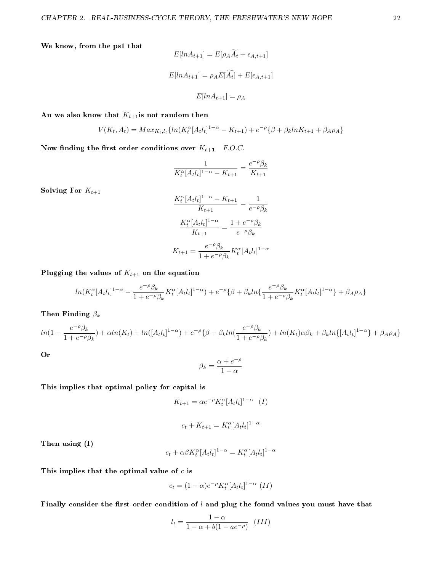We know, from the ps1 that

$$
E[ln A_{t+1}] = E[\rho_A A_t + \epsilon_{A,t+1}]
$$
  

$$
E[ln A_{t+1}] = \rho_A E[\widetilde{A_t}] + E[\epsilon_{A,t+1}]
$$
  

$$
E[ln A_{t+1}] = \rho_A
$$

An we also know that  $K_{t+1}$ is not random then

$$
V(K_t, A_t) = Max_{K_t, l_t} \{ ln(K_t^{\alpha} [A_t l_t]^{1-\alpha} - K_{t+1}) + e^{-\rho} \{ \beta + \beta_k ln K_{t+1} + \beta_A \rho_A \}
$$

Now finding the first order conditions over  $K_{t+1}$  F.O.C.

$$
\frac{1}{K_t^\alpha [A_t l_t]^{1-\alpha} - K_{t+1}} = \frac{e^{-\rho} \beta_k}{K_{t+1}}
$$

Solving For  $K_{t+1}$ 

$$
\frac{K_t^{\alpha}[A_t l_t]^{1-\alpha} - K_{t+1}}{K_{t+1}} = \frac{1}{e^{-\rho} \beta_k}
$$

$$
\frac{K_t^{\alpha}[A_t l_t]^{1-\alpha}}{K_{t+1}} = \frac{1 + e^{-\rho} \beta_k}{e^{-\rho} \beta_k}
$$

$$
K_{t+1} = \frac{e^{-\rho} \beta_k}{1 + e^{-\rho} \beta_k} K_t^{\alpha}[A_t l_t]^{1-\alpha}
$$

Plugging the values of  $K_{t+1}$  on the equation

$$
ln(K_t^{\alpha}[A_t l_t]^{1-\alpha}-\frac{e^{-\rho}\beta_k}{1+e^{-\rho}\beta_k}K_t^{\alpha}[A_t l_t]^{1-\alpha})+e^{-\rho}\{\beta+\beta_kln\{\frac{e^{-\rho}\beta_k}{1+e^{-\rho}\beta_k}K_t^{\alpha}[A_t l_t]^{1-\alpha}\}+\beta_A\rho_A\}
$$

Then Finding  $\beta_k$ 

$$
ln(1 - \frac{e^{-\rho}\beta_k}{1 + e^{-\rho}\beta_k}) + \alpha ln(K_t) + ln([A_t l_t]^{1-\alpha}) + e^{-\rho}\{\beta + \beta_k ln(\frac{e^{-\rho}\beta_k}{1 + e^{-\rho}\beta_k}) + ln(K_t)\alpha\beta_k + \beta_k ln\{[A_t l_t]^{1-\alpha}\} + \beta_A \rho_A\}
$$

Or

$$
\beta_k=\frac{\alpha+e^{-\rho}}{1-\alpha}
$$

This implies that optimal policy for capital is

$$
K_{t+1} = \alpha e^{-\rho} K_t^{\alpha} [A_t l_t]^{1-\alpha} (I)
$$

$$
c_t + K_{t+1} = K_t^{\alpha} [A_t l_t]^{1-\alpha}
$$

Then using (I)

$$
c_t + \alpha \beta K_t^{\alpha} [A_t l_t]^{1-\alpha} = K_t^{\alpha} [A_t l_t]^{1-\alpha}
$$

This implies that the optimal value of  $c$  is

$$
c_t = (1 - \alpha)e^{-\rho}K_t^{\alpha}[A_t l_t]^{1 - \alpha} (II)
$$

Finally consider the first order condition of  $l$  and plug the found values you must have that

$$
l_t = \frac{1 - \alpha}{1 - \alpha + b(1 - ae^{-\rho})} \quad (III)
$$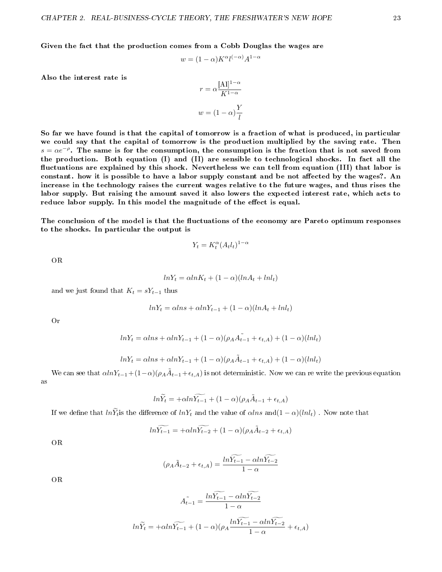Given the fact that the production comes from a Cobb Douglas the wages are

$$
w = (1 - \alpha)K^{\alpha}l^{(-\alpha)}A^{1-\alpha}
$$

Also the interest rate is

$$
r = \alpha \frac{[\mathbf{A}]]^{1-\alpha}}{K^{1-\alpha}}
$$

$$
w = (1-\alpha) \frac{Y}{l}
$$

So far we have found is that the capital of tomorrow is a fraction of what is produced, in particular we could say that the capital of tomorrow is the production multiplied by the saving rate. Then  $s = \alpha e^{-\rho}$ . The same is for the consumption, the consumption is the fraction that is not saved from the production. Both equation (I) and (II) are sensible to technological shocks. In fact all the fluctuations are explained by this shock. Nevertheless we can tell from equation (III) that labor is constant. how it is possible to have a labor supply constant and be not affected by the wages?. An increase in the technology raises the current wages relative to the future wages, and thus rises the labor supply. But raising the amount saved it also lowers the expected interest rate, which acts to reduce labor supply. In this model the magnitude of the effect is equal.

The conclusion of the model is that the fluctuations of the economy are Pareto optimum responses to the shocks. In particular the output is

$$
Y_t = K_t^{\alpha} (A_t l_t)^{1-\alpha}
$$

OR

$$
lnY_t = \alpha lnK_t + (1 - \alpha)(lnA_t + lnl_t)
$$

and we just found that  $K_t = sY_{t-1}$  thus

$$
lnY_t = \alpha lns + \alpha lnY_{t-1} + (1 - \alpha)(lnA_t + lnl_t)
$$

Or

$$
lnY_t = \alpha lns + \alpha lnY_{t-1} + (1-\alpha)(\rho_A A_{t-1}^{\tilde{}} + \epsilon_{t,A}) + (1-\alpha)(lnl_t)
$$

$$
lnY_t = \alpha lns + \alpha lnY_{t-1} + (1 - \alpha)(\rho_A \tilde{A}_{t-1} + \epsilon_{t,A}) + (1 - \alpha)(lnl_t)
$$

We can see that  $\alpha ln Y_{t-1}+(1-\alpha)(\rho_A \tilde{A}_{t-1}+\epsilon_{t,A})$  is not deterministic. Now we can re write the previous equation as

$$
ln\widetilde{Y}_t = +\alpha ln\widetilde{Y_{t-1}} + (1-\alpha)(\rho_A\widetilde{A}_{t-1} + \epsilon_{t,A})
$$

If we define that  $ln\widetilde{Y}_t$  is the difference of  $lnY_t$  and the value of  $\alpha lns$  and $(1-\alpha)(lnl_t)$ . Now note that

$$
ln\widetilde{Y_{t-1}} = +\alpha ln\widetilde{Y_{t-2}} + (1-\alpha)(\rho_A \widetilde{A}_{t-2} + \epsilon_{t,A})
$$

OR

$$
(\rho_A \tilde{A}_{t-2} + \epsilon_{t,A}) = \frac{ln \widetilde{Y_{t-1}} - \alpha ln \widetilde{Y_{t-2}}}{1 - \alpha}
$$

OR

$$
A_{t-1}^{\sim} = \frac{lnY_{t-1} - \alpha lnY_{t-2}}{1 - \alpha}
$$

$$
ln\widetilde{Y}_t = +\alpha ln\widetilde{Y}_{t-1} + (1 - \alpha)(\rho_A \frac{ln\widetilde{Y}_{t-1} - \alpha ln\widetilde{Y}_{t-2}}{1 - \alpha} + \epsilon_{t,A})
$$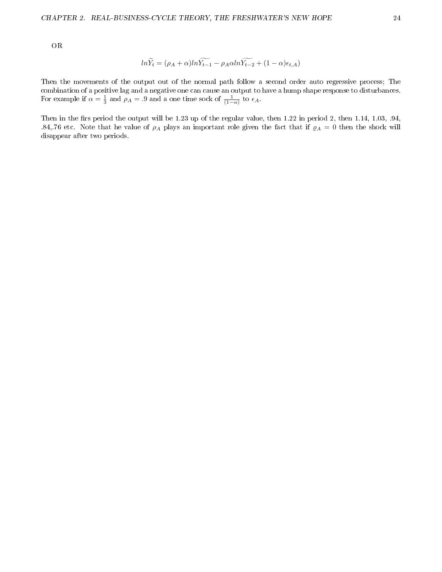OR

$$
ln\widetilde{Y}_t = (\rho_A + \alpha)ln\widetilde{Y_{t-1}} - \rho_A\alpha ln\widetilde{Y_{t-2}} + (1 - \alpha)\epsilon_{t,A})
$$

Then the movements of the output out of the normal path follow a second order auto regressive process; The combination of a positive lag and a negative one can cause an output to have a hump shape response to disturbances. For example if  $\alpha = \frac{1}{3}$  and  $\rho_A = .9$  and a one time sock of  $\frac{1}{(1-\alpha)}$  to  $\epsilon_A$ .

Then in the firs period the output will be 1.23 up of the regular value, then  $1.22$  in period 2, then  $1.14$ ,  $1.03$ ,  $.94$ , .84,.76 etc. Note that he value of  $\rho_A$  plays an important role given the fact that if  $\rho_A = 0$  then the shock will disappear after two periods.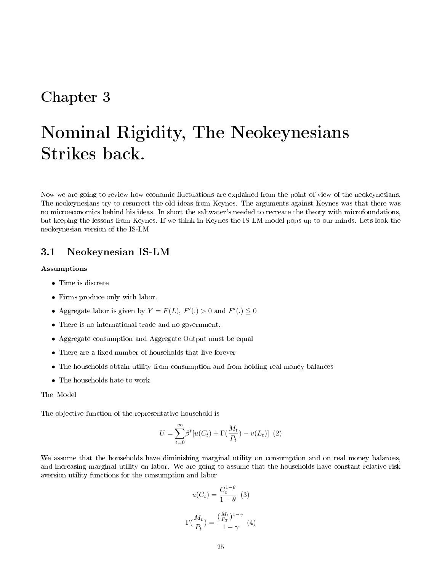# Chapter 3

# Nominal Rigidity, The Neokeynesians Strikes back.

Now we are going to review how economic fluctuations are explained from the point of view of the neokeynesians. The neokeynesians try to resurrect the old ideas from Keynes. The arguments against Keynes was that there was no microeconomics behind his ideas. In short the saltwater's needed to recreate the theory with microfoundations, but keeping the lessons from Keynes. If we think in Keynes the IS-LM model pops up to our minds. Lets look the neokeynesian version of the IS-LM

## 3.1 Neokeynesian IS-LM

#### Assumptions

- Time is discrete
- Firms produce only with labor.
- Aggregate labor is given by  $Y = F(L)$ ,  $F'(.) > 0$  and  $F'(.) \leq 0$
- There is no international trade and no government.
- Aggregate consumption and Aggregate Output must be equal
- There are a fixed number of households that live forever
- The households obtain utility from consumption and from holding real money balances
- The households hate to work

The Model

The objective function of the representative household is

$$
U = \sum_{t=0}^{\infty} \beta^t [u(C_t) + \Gamma(\frac{M_t}{P_t}) - v(L_t)] \tag{2}
$$

We assume that the households have diminishing marginal utility on consumption and on real money balances, and increasing marginal utility on labor. We are going to assume that the households have constant relative risk aversion utility functions for the consumption and labor

$$
u(C_t) = \frac{C_t^{1-\theta}}{1-\theta} \quad (3)
$$

$$
\Gamma(\frac{M_t}{P_t}) = \frac{(\frac{M_t}{P_T})^{1-\gamma}}{1-\gamma} \quad (4)
$$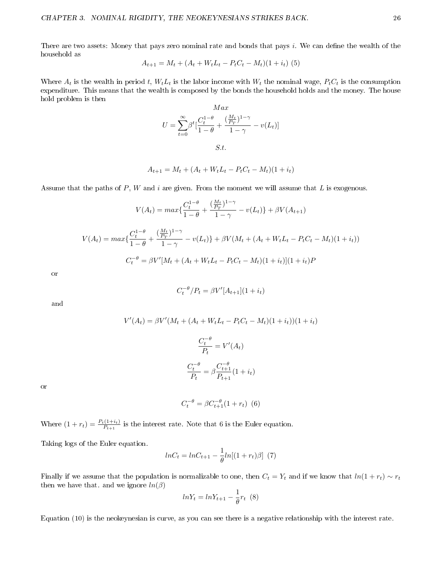There are two assets: Money that pays zero nominal rate and bonds that pays i. We can define the wealth of the household as

$$
A_{t+1} = M_t + (A_t + W_t L_t - P_t C_t - M_t)(1 + i_t)
$$
 (5)

Where  $A_t$  is the wealth in period t,  $W_t L_t$  is the labor income with  $W_t$  the nominal wage,  $P_t C_t$  is the consumption expenditure. This means that the wealth is composed by the bonds the household holds and the money. The house hold problem is then

$$
Max
$$

$$
U = \sum_{t=0}^{\infty} \beta^{t} \left[ \frac{C_{t}^{1-\theta}}{1-\theta} + \frac{\left(\frac{M_{t}}{P_{T}}\right)^{1-\gamma}}{1-\gamma} - v(L_{t}) \right]
$$

$$
S.t.
$$

$$
A_{t+1} = M_{t} + (A_{t} + W_{t}L_{t} - P_{t}C_{t} - M_{t})(1 + i_{t})
$$

Assume that the paths of  $P$ ,  $W$  and  $i$  are given. From the moment we will assume that  $L$  is exogenous.

$$
V(A_t) = max\left\{\frac{C_t^{1-\theta}}{1-\theta} + \frac{\left(\frac{M_t}{P_T}\right)^{1-\gamma}}{1-\gamma} - v(L_t)\right\} + \beta V(A_{t+1})
$$
  

$$
V(A_t) = max\left\{\frac{C_t^{1-\theta}}{1-\theta} + \frac{\left(\frac{M_t}{P_T}\right)^{1-\gamma}}{1-\gamma} - v(L_t)\right\} + \beta V(M_t + (A_t + W_t L_t - P_t C_t - M_t)(1 + i_t))
$$
  

$$
C_t^{-\theta} = \beta V'[M_t + (A_t + W_t L_t - P_t C_t - M_t)(1 + i_t)](1 + i_t)P
$$

or

$$
C_t^{-\theta}/P_t = \beta V'[A_{t+1}](1+i_t)
$$

and

$$
V'(A_t) = \beta V'(M_t + (A_t + W_t L_t - P_t C_t - M_t)(1 + i_t))(1 + i_t)
$$

$$
\frac{C_t^{-\theta}}{P_t} = V'(A_t)
$$

$$
\frac{C_t^{-\theta}}{P_t} = \beta \frac{C_t^{-\theta}}{P_{t+1}}(1 + i_t)
$$

or

$$
C_t^{-\theta} = \beta C_{t+1}^{-\theta} (1 + r_t) \tag{6}
$$

Where  $(1 + r_t) = \frac{P_t(1 + i_t)}{P_{t+1}}$  is the interest rate. Note that 6 is the Euler equation.

Taking logs of the Euler equation.

$$
lnC_t = lnC_{t+1} - \frac{1}{\theta}ln[(1+r_t)\beta] \tag{7}
$$

Finally if we assume that the population is normalizable to one, then  $C_t = Y_t$  and if we know that  $ln(1 + r_t) \sim r_t$ then we have that. and we ignore  $ln(\beta)$ 

$$
lnY_t = lnY_{t+1} - \frac{1}{\theta}r_t \tag{8}
$$

Equation (10) is the neokeynesian is curve, as you can see there is a negative relationship with the interest rate.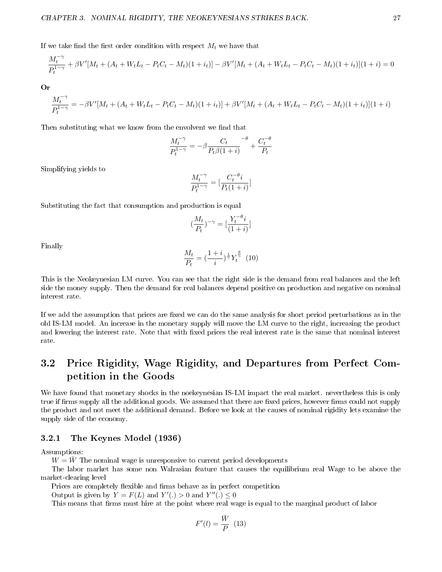$$
\frac{M_t^{-\gamma}}{P_t^{1-\gamma}} + \beta V'[M_t + (A_t + W_t L_t - P_t C_t - M_t)(1 + i_t)] - \beta V'[M_t + (A_t + W_t L_t - P_t C_t - M_t)(1 + i_t)](1 + i) = 0
$$

Or

$$
\frac{M_t^{-\gamma}}{P_t^{1-\gamma}} = -\beta V'[M_t + (A_t + W_t L_t - P_t C_t - M_t)(1 + i_t)] + \beta V'[M_t + (A_t + W_t L_t - P_t C_t - M_t)(1 + i_t)](1 + i)
$$

Then substituting what we know from the envolvent we find that

$$
\frac{M_t^{-\gamma}}{P_t^{1-\gamma}} = -\beta \frac{C_t}{P_t \beta (1+i)} - \beta + \frac{C_t^{-\theta}}{P_t}
$$

Simplifying yields to

$$
\frac{M_t^{-\gamma}}{P_t^{1-\gamma}} = \left[\frac{C_t^{-\theta}i}{P_t(1+i)}\right]
$$

Substituting the fact that consumption and production is equal

$$
\left(\frac{M_t}{P_t}\right)^{-\gamma} = \left[\frac{Y_t^{-\theta}i}{(1+i)}\right]
$$

Finally

$$
\frac{M_t}{P_t} = \left(\frac{1+i}{i}\right)^{\frac{1}{\gamma}} Y_t^{\frac{\theta}{\gamma}}
$$
 (10)

This is the Neokeynesian LM curve. You can see that the right side is the demand from real balances and the left side the money supply. Then the demand for real balances depend positive on production and negative on nominal interest rate.

If we add the assumption that prices are fixed we can do the same analysis for short period perturbations as in the old IS-LM model. An increase in the monetary supply will move the LM curve to the right, increasing the product and lowering the interest rate. Note that with fixed prices the real interest rate is the same that nominal interest rate.

# 3.2 Price Rigidity, Wage Rigidity, and Departures from Perfect Competition in the Goods

We have found that monetary shocks in the noekeynesian IS-LM impact the real market. nevertheless this is only true if firms supply all the additional goods. We assumed that there are fixed prices, however firms could not supply the product and not meet the additional demand. Before we look at the causes of nominal rigidity lets examine the supply side of the economy.

#### 3.2.1 The Keynes Model (1936)

Assumptions:

 $W = \bar{W}$  The nominal wage is unresponsive to current period developments

The labor market has some non Walrasian feature that causes the equilibrium real Wage to be above the market-clearing level

Prices are completely flexible and firms behave as in perfect competition

Output is given by  $Y = F(L)$  and  $Y'(.) > 0$  and  $Y''(.) \leq 0$ 

This means that firms must hire at the point where real wage is equal to the marginal product of labor

$$
F'(l)=\frac{\bar{W}}{P}~~(13)
$$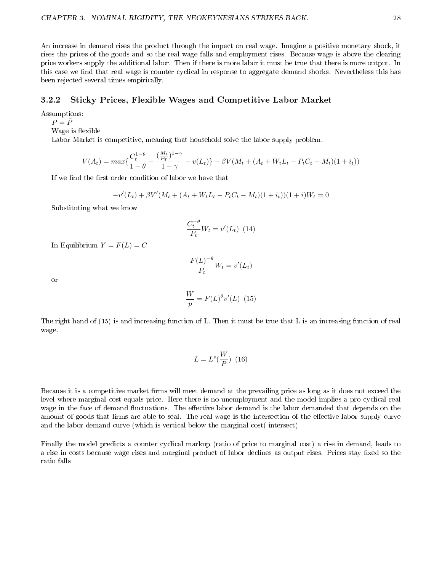An increase in demand rises the product through the impact on real wage. Imagine a positive monetary shock, it rises the prices of the goods and so the real wage falls and employment rises. Because wage is above the clearing price workers supply the additional labor. Then if there is more labor it must be true that there is more output. In this case we find that real wage is counter cyclical in response to aggregate demand shocks. Nevertheless this has been rejected several times empirically.

#### 3.2.2 Sticky Prices, Flexible Wages and Competitive Labor Market

Assumptions:

 $P = \overline{P}$ 

Wage is flexible

Labor Market is competitive, meaning that household solve the labor supply problem.

$$
V(A_t) = max\left\{\frac{C_t^{1-\theta}}{1-\theta} + \frac{\left(\frac{M_t}{P_T}\right)^{1-\gamma}}{1-\gamma} - v(L_t)\right\} + \beta V(M_t + (A_t + W_t L_t - P_t C_t - M_t)(1+i_t))
$$

If we find the first order condition of labor we have that

$$
-v'(L_t) + \beta V'(M_t + (A_t + W_t L_t - P_t C_t - M_t)(1 + i_t))(1 + i)W_t = 0
$$

Substituting what we know

$$
\frac{C_t^{-\theta}}{P_t}W_t = v'(L_t) \tag{14}
$$

In Equilibrium  $Y = F(L) = C$ 

$$
\frac{F(L)^{-\theta}}{P_t}W_t = v'(L_t)
$$

or

$$
\frac{W}{p} = F(L)^{\theta} v'(L) \quad (15)
$$

The right hand of (15) is and increasing function of L. Then it must be true that L is an increasing function of real wage.

$$
L = L^s(\frac{W}{P}) \ (16)
$$

Because it is a competitive market firms will meet demand at the prevailing price as long as it does not exceed the level where marginal cost equals price. Here there is no unemployment and the model implies a pro cyclical real wage in the face of demand fluctuations. The effective labor demand is the labor demanded that depends on the amount of goods that firms are able to seal. The real wage is the intersection of the effective labor supply curve and the labor demand curve (which is vertical below the marginal cost( intersect)

Finally the model predicts a counter cyclical markup (ratio of price to marginal cost) a rise in demand, leads to a rise in costs because wage rises and marginal product of labor declines as output rises. Prices stay fixed so the ratio falls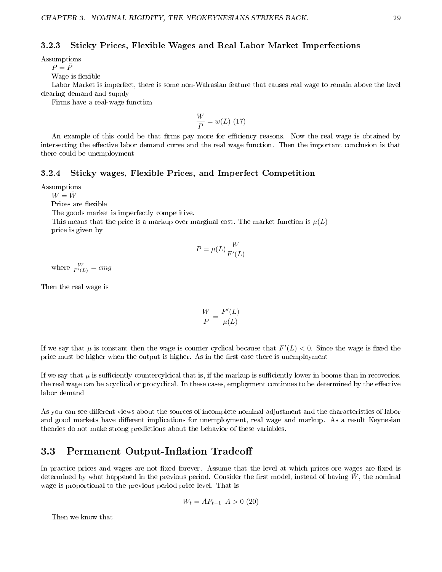#### 3.2.3 Sticky Prices, Flexible Wages and Real Labor Market Imperfections

Assumptions

 $P=\bar{P}$ 

Wage is flexible

Labor Market is imperfect, there is some non-Walrasian feature that causes real wage to remain above the level clearing demand and supply

Firms have a real-wage function

$$
\frac{W}{P} = w(L) \ (17)
$$

An example of this could be that firms pay more for efficiency reasons. Now the real wage is obtained by intersecting the effective labor demand curve and the real wage function. Then the important conclusion is that there could be unemployment

#### 3.2.4 Sticky wages, Flexible Prices, and Imperfect Competition

Assumptions

 $W = \bar{W}$ 

Prices are flexible

The goods market is imperfectly competitive.

This means that the price is a markup over marginal cost. The market function is  $\mu(L)$ price is given by

$$
P = \mu(L) \frac{W}{F'(L)}
$$

where  $\frac{W}{F'(L)} = cmg$ 

Then the real wage is

$$
\frac{W}{P} = \frac{F'(L)}{\mu(L)}
$$

If we say that  $\mu$  is constant then the wage is counter cyclical because that  $F'(L) < 0$ . Since the wage is fixed the price must be higher when the output is higher. As in the first case there is unemployment

If we say that  $\mu$  is sufficiently countercylcical that is, if the markup is sufficiently lower in booms than in recoveries. the real wage can be acyclical or procyclical. In these cases, employment continues to be determined by the effective labor demand

As you can see different views about the sources of incomplete nominal adjustment and the characteristics of labor and good markets have different implications for unemployment, real wage and markup. As a result Keynesian theories do not make strong predictions about the behavior of these variables.

## 3.3 Permanent Output-Inflation Tradeoff

In practice prices and wages are not fixed forever. Assume that the level at which prices ore wages are fixed is determined by what happened in the previous period. Consider the first model, instead of having  $\bar{W}$ , the nominal wage is proportional to the previous period price level. That is

$$
W_t = AP_{t-1} \, A > 0 \, (20)
$$

Then we know that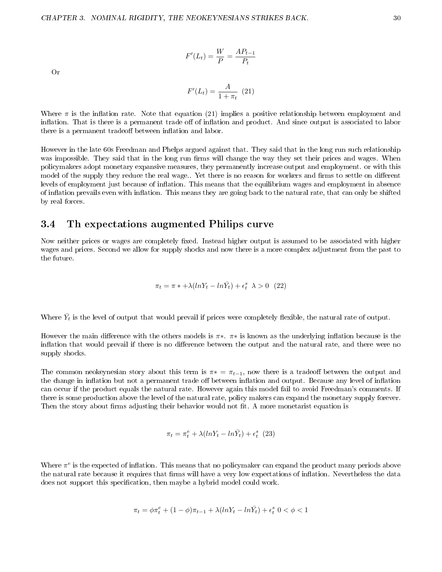$$
F'(L_t) = \frac{W}{P} = \frac{AP_{t-1}}{P_t}
$$

Or

$$
F'(L_t) = \frac{A}{1 + \pi_t} \ (21)
$$

Where  $\pi$  is the inflation rate. Note that equation (21) implies a positive relationship between employment and inflation. That is there is a permanent trade off of inflation and product. And since output is associated to labor there is a permanent tradeoff between inflation and labor.

However in the late 60s Freedman and Phelps argued against that. They said that in the long run such relationship was impossible. They said that in the long run firms will change the way they set their prices and wages. When policymakers adopt monetary expansive measures, they permanently increase output and employment. or with this model of the supply they reduce the real wage.. Yet there is no reason for workers and firms to settle on different levels of employment just because of inflation. This means that the equilibrium wages and employment in absence of inflation prevails even with inflation. This means they are going back to the natural rate, that can only be shifted by real forces.

## 3.4 Th expectations augmented Philips curve

Now neither prices or wages are completely fixed. Instead higher output is assumed to be associated with higher wages and prices. Second we allow for supply shocks and now there is a more complex adjustment from the past to the future.

$$
\pi_t = \pi * + \lambda (ln Y_t - ln \bar{Y}_t) + \epsilon_t^s \ \lambda > 0 \ \ (22)
$$

Where  $\bar{Y}_t$  is the level of output that would prevail if prices were completely flexible, the natural rate of output.

However the main difference with the others models is  $\pi*$ .  $\pi*$  is known as the underlying inflation because is the inflation that would prevail if there is no difference between the output and the natural rate, and there were no supply shocks.

The common neokeynesian story about this term is  $\pi* = \pi_{t-1}$ , now there is a tradeoff between the output and the change in inflation but not a permanent trade off between inflation and output. Because any level of inflation can occur if the product equals the natural rate. However again this model fail to avoid Freedman's comments. If there is some production above the level of the natural rate, policy makers can expand the monetary supply forever. Then the story about firms adjusting their behavior would not fit. A more monetarist equation is

$$
\pi_t = \pi_t^e + \lambda (lnY_t - ln\bar{Y}_t) + \epsilon_t^s
$$
 (23)

Where  $\pi^e$  is the expected of inflation. This means that no policymaker can expand the product many periods above the natural rate because it requires that firms will have a very low expectations of inflation. Nevertheless the data does not support this specification, then maybe a hybrid model could work.

$$
\pi_t=\phi\pi^e_t+(1-\phi)\pi_{t-1}+\lambda(lnY_t-ln\bar{Y}_t)+\epsilon^s_t~0<\phi<1
$$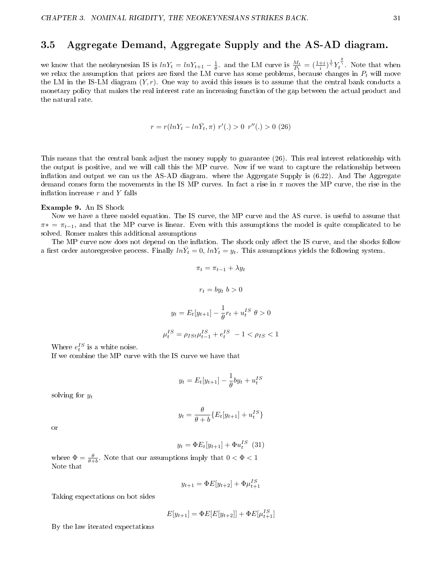# 3.5 Aggregate Demand, Aggregate Supply and the AS-AD diagram.

we know that the neokeynesian IS is  $lnY_t = lnY_{t+1} - \frac{1}{\theta}$  and the LM curve is  $\frac{M_t}{P_t} = (\frac{1+i}{i})^{\frac{1}{\gamma}} Y_t^{\frac{\theta}{\gamma}}$ . Note that when we relax the assumption that prices are fixed the LM curve has some problems, because changes in  $P_t$  will move the LM in the IS-LM diagram  $(Y, r)$ . One way to avoid this issues is to assume that the central bank conducts a monetary policy that makes the real interest rate an increasing function of the gap between the actual product and the natural rate.

$$
r = r(lnY_t - ln\bar{Y}_t, \pi) r'(.) > 0 r''(.) > 0 (26)
$$

This means that the central bank adjust the money supply to guarantee (26). This real interest relationship with the output is positive, and we will call this the MP curve. Now if we want to capture the relationship between inflation and output we can us the AS-AD diagram. where the Aggregate Supply is  $(6.22)$ . And The Aggregate demand comes form the movements in the IS MP curves. In fact a rise in  $\pi$  moves the MP curve, the rise in the inflation increase  $r$  and  $Y$  falls

#### Example 9. An IS Shock

Now we have a three model equation. The IS curve, the MP curve and the AS curve. is useful to assume that  $\pi* = \pi_{t-1}$ , and that the MP curve is linear. Even with this assumptions the model is quite complicated to be solved. Romer makes this additional assumptions

The MP curve now does not depend on the inflation. The shock only affect the IS curve, and the shocks follow a first order autoregresive process. Finally  $ln\bar{Y}_t = 0$ ,  $lnY_t = y_t$ . This assumptions yields the following system.

$$
\pi_t = \pi_{t-1} + \lambda y_t
$$

$$
r_t = by_t \ b > 0
$$

$$
y_t = E_t[y_{t+1}] - \frac{1}{\theta}r_t + u_t^{IS} \ \theta > 0
$$

$$
\mu_t^{IS} = \rho_{ISt} \mu_{t-1}^{IS} + e_t^{IS} \ -1 < \rho_{IS} < 1
$$

Where  $e_t^{IS}$  is a white noise.

If we combine the MP curve with the IS curve we have that

$$
y_t = E_t[y_{t+1}] - \frac{1}{\theta}by_t + u_t^{IS}
$$

solving for  $y_t$ 

$$
y_t = \frac{\theta}{\theta + b} \{ E_t[y_{t+1}] + u_t^{IS} \}
$$

or

$$
y_t = \Phi E_t[y_{t+1}] + \Phi u_t^{IS} \tag{31}
$$

where  $\Phi = \frac{\theta}{\theta + b}$ . Note that our assumptions imply that  $0 < \Phi < 1$ Note that

$$
y_{t+1} = \Phi E[y_{t+2}] + \Phi \mu_{t+1}^{IS}
$$

Taking expectations on bot sides

$$
E[y_{t+1}] = \Phi E[E[y_{t+2}]] + \Phi E[\mu_{t+1}^{IS}]
$$

By the law iterated expectations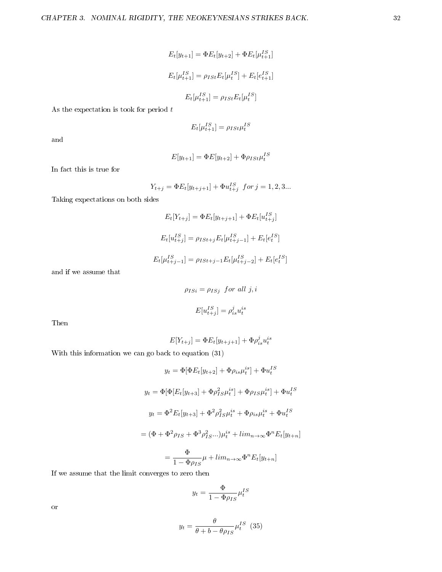$$
E_t[y_{t+1}] = \Phi E_t[y_{t+2}] + \Phi E_t[\mu_{t+1}^{IS}]
$$
  

$$
E_t[\mu_{t+1}^{IS}] = \rho_{ISt} E_t[\mu_t^{IS}] + E_t[e_{t+1}^{IS}]
$$
  

$$
E_t[\mu_{t+1}^{IS}] = \rho_{ISt} E_t[\mu_t^{IS}]
$$

As the expectation is took for period  $\boldsymbol{t}$ 

$$
E_t[\mu_{t+1}^{IS}] = \rho_{ISt}\mu_t^{IS}
$$

and

$$
E[y_{t+1}] = \Phi E[y_{t+2}] + \Phi \rho_{ISt} \mu_t^{IS}
$$

In fact this is true for

$$
Y_{t+j} = \Phi E_t[y_{t+j+1}] + \Phi u_{t+j}^{IS} \text{ for } j = 1, 2, 3...
$$

Taking expectations on both sides

$$
E_t[Y_{t+j}] = \Phi E_t[y_{t+j+1}] + \Phi E_t[u_{t+j}^{IS}]
$$
  

$$
E_t[u_{t+j}^{IS}] = \rho_{ISt+j} E_t[\mu_{t+j-1}^{IS}] + E_t[e_t^{IS}]
$$
  

$$
E_t[\mu_{t+j-1}^{IS}] = \rho_{ISt+j-1} E_t[\mu_{t+j-2}^{IS}] + E_t[e_t^{IS}]
$$

and if we assume that

$$
\rho_{ISi} = \rho_{ISj} \text{ for all } j, i
$$

$$
E[u_{t+j}^{IS}] = \rho_{is}^{j} u_{t}^{is}
$$

Then

$$
E[Y_{t+j}] = \Phi E_t[y_{t+j+1}] + \Phi \rho_{is}^j u_t^{is}
$$

With this information we can go back to equation (31)

$$
y_t = \Phi[\Phi E_t[y_{t+2}] + \Phi \rho_{is} \mu_t^{is}] + \Phi u_t^{IS}
$$
  

$$
y_t = \Phi[\Phi[E_t[y_{t+3}] + \Phi \rho_{IS}^2 \mu_t^{is}] + \Phi \rho_{IS} \mu_t^{is}] + \Phi u_t^{IS}
$$
  

$$
y_t = \Phi^2 E_t[y_{t+3}] + \Phi^2 \rho_{IS}^2 \mu_t^{is} + \Phi \rho_{is} \mu_t^{is} + \Phi u_t^{IS}
$$
  

$$
= (\Phi + \Phi^2 \rho_{IS} + \Phi^3 \rho_{IS}^2 ...)\mu_t^{is} + \lim_{n \to \infty} \Phi^n E_t[y_{t+n}]
$$
  

$$
= \frac{\Phi}{1 - \Phi \rho_{IS}} \mu + \lim_{n \to \infty} \Phi^n E_t[y_{t+n}]
$$

If we assume that the limit converges to zero then

$$
y_t = \frac{\Phi}{1 - \Phi \rho_{IS}} \mu_t^{IS}
$$

or

$$
y_t = \frac{\theta}{\theta + b - \theta \rho_{IS}} \mu_t^{IS} \tag{35}
$$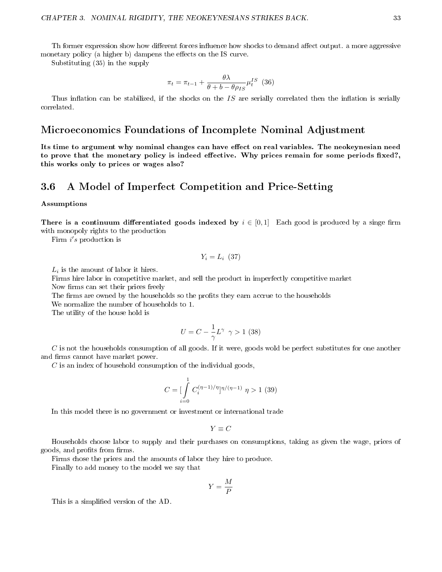Th former expression show how different forces influence how shocks to demand affect output. a more aggressive monetary policy (a higher b) dampens the effects on the IS curve.

Substituting (35) in the supply

$$
\pi_t = \pi_{t-1} + \frac{\theta \lambda}{\theta + b - \theta \rho_{IS}} \mu_t^{IS} \tag{36}
$$

Thus inflation can be stabilized, if the shocks on the  $IS$  are serially correlated then the inflation is serially correlated.

# Microeconomics Foundations of Incomplete Nominal Adjustment

Its time to argument why nominal changes can have effect on real variables. The neokeynesian need to prove that the monetary policy is indeed effective. Why prices remain for some periods fixed?, this works only to prices or wages also?

## 3.6 A Model of Imperfect Competition and Price-Setting

#### Assumptions

There is a continuum differentiated goods indexed by  $i \in [0,1]$  Each good is produced by a singe firm with monopoly rights to the production

Firm i's production is

$$
Y_i = L_i \ (37)
$$

 $L_i$  is the amount of labor it hires.

Firms hire labor in competitive market, and sell the product in imperfectly competitive market Now firms can set their prices freely

The firms are owned by the households so the profits they earn accrue to the households

We normalize the number of households to 1.

The utility of the house hold is

$$
U = C - \frac{1}{\gamma} L^{\gamma} \ \gamma > 1 \ (38)
$$

C is not the households consumption of all goods. If it were, goods wold be perfect substitutes for one another and firms cannot have market power.

 $C$  is an index of household consumption of the individual goods,

$$
C = \left[\int\limits_{i=0}^{1} C_i^{(\eta-1)/\eta} \right]^{\eta/(\eta-1)} \eta > 1 \tag{39}
$$

In this model there is no government or investment or international trade

$$
Y\equiv C
$$

Households choose labor to supply and their purchases on consumptions, taking as given the wage, prices of goods, and profits from firms.

Firms chose the prices and the amounts of labor they hire to produce.

Finally to add money to the model we say that

$$
Y=\frac{M}{P}
$$

This is a simplified version of the AD.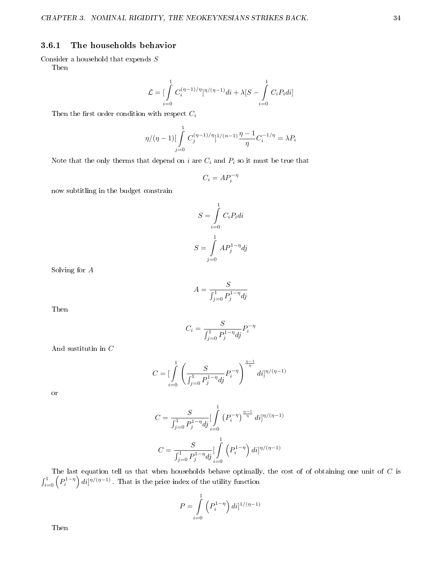#### 3.6.1 The households behavior

Consider a household that expends  $S$ Then

$$
\mathcal{L} = \left[\int\limits_{i=0}^{1} C_i^{(\eta-1)/\eta} \right]^{n/(\eta-1)} di + \lambda [S - \int\limits_{i=0}^{1} C_i P_i di]
$$

Then the first order condition with respect  $C_i$ 

$$
\eta/(\eta-1)[\int_{j=0}^{1} C_j^{(\eta-1)/\eta}]^{1/(n-1)} \frac{\eta-1}{\eta} C_i^{-1/\eta} = \lambda P_i
$$

Note that the only therms that depend on  $i$  are  $C_i$  and  $P_i$  so it must be true that

$$
C_i = AP_i^{-\eta}
$$

now subtitling in the budget constrain

$$
S = \int_{i=0}^{1} C_i P_i di
$$

$$
S = \int_{j=0}^{1} AP_j^{1-\eta} dj
$$

Solving for A

$$
A = \frac{S}{\int_{j=0}^{1} P_j^{1-\eta} dj}
$$

 $\int_{j=0}^{1} P_j^{1-\eta} dj$ 

 $P_i^{-\eta}$ 

 $C_i = \frac{S}{c_1 - S}$ 

Then

And substitution in 
$$
\mathcal C
$$

$$
C = \left[\int_{i=0}^{1} \left(\frac{S}{\int_{j=0}^{1} P_j^{1-\eta} dj} P_i^{-\eta}\right)^{\frac{\eta-1}{\eta}} di\right]^{n/(\eta-1)}
$$

or

$$
C = \frac{S}{\int_{j=0}^{1} P_j^{1-\eta} dj} \left[ \int_{i=0}^{1} \left( P_i^{-\eta} \right)^{\frac{\eta-1}{\eta}} di \right]^{1/\eta/(\eta-1)}
$$

$$
C = \frac{S}{\int_{j=0}^{1} P_j^{1-\eta} dj} \left[ \int_{i=0}^{1} \left( P_i^{1-\eta} \right) di \right]^{1/\eta/(\eta-1)}
$$

The last equation tell us that when households behave optimally, the cost of of obtaining one unit of  $C$  is  $\int_{i=0}^{1} \left( P_i^{1-\eta} \right) di ]^{\eta/(\eta-1)}$  . That is the price index of the utility function

$$
P=\int\limits_{i=0}^1\left(P_i^{1-\eta}\right)di]^{1/(\eta-1)}
$$

Then